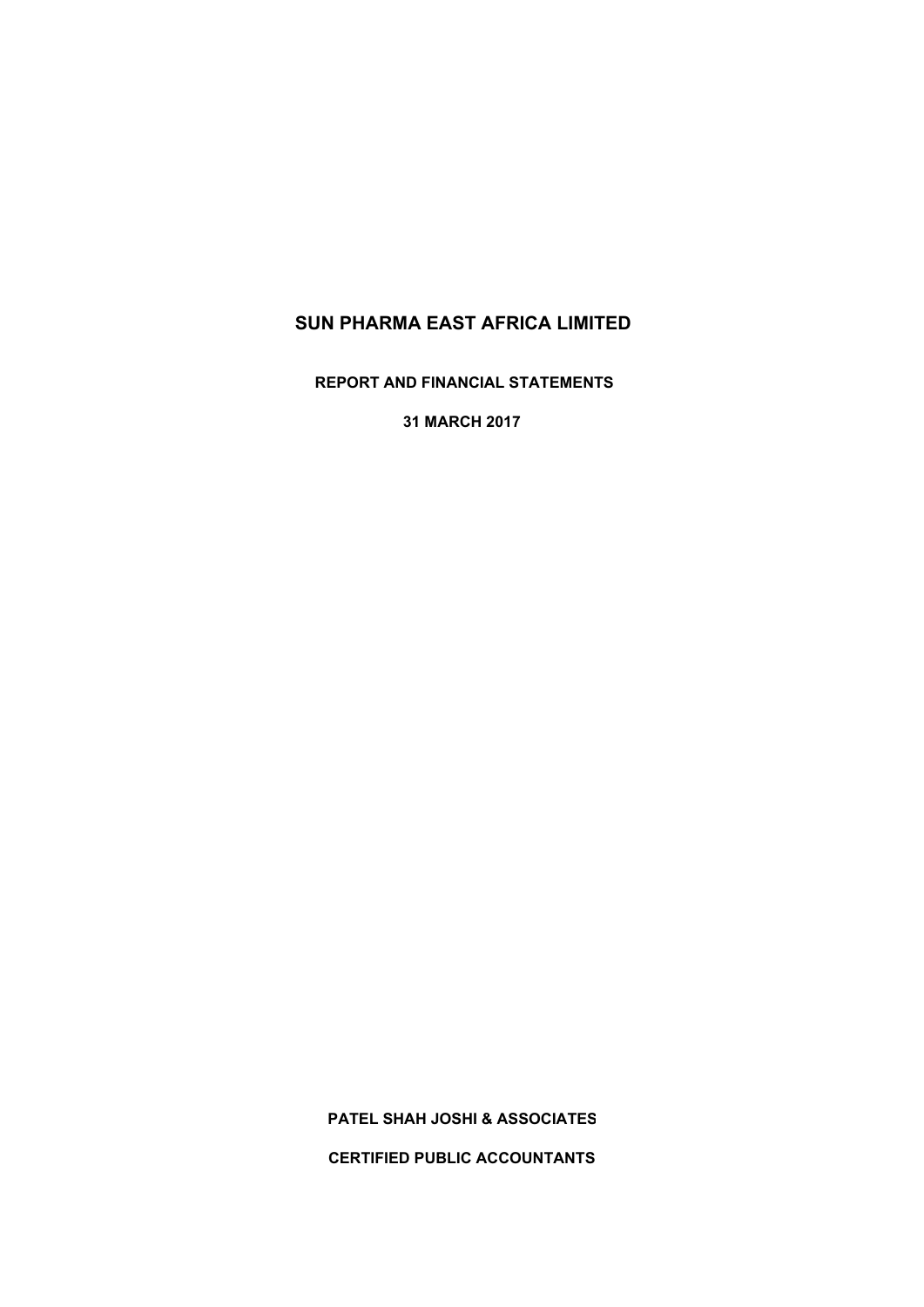**REPORT AND FINANCIAL STATEMENTS**

**31 MARCH 2017**

**PATEL SHAH JOSHI & ASSOCIATES**

**CERTIFIED PUBLIC ACCOUNTANTS**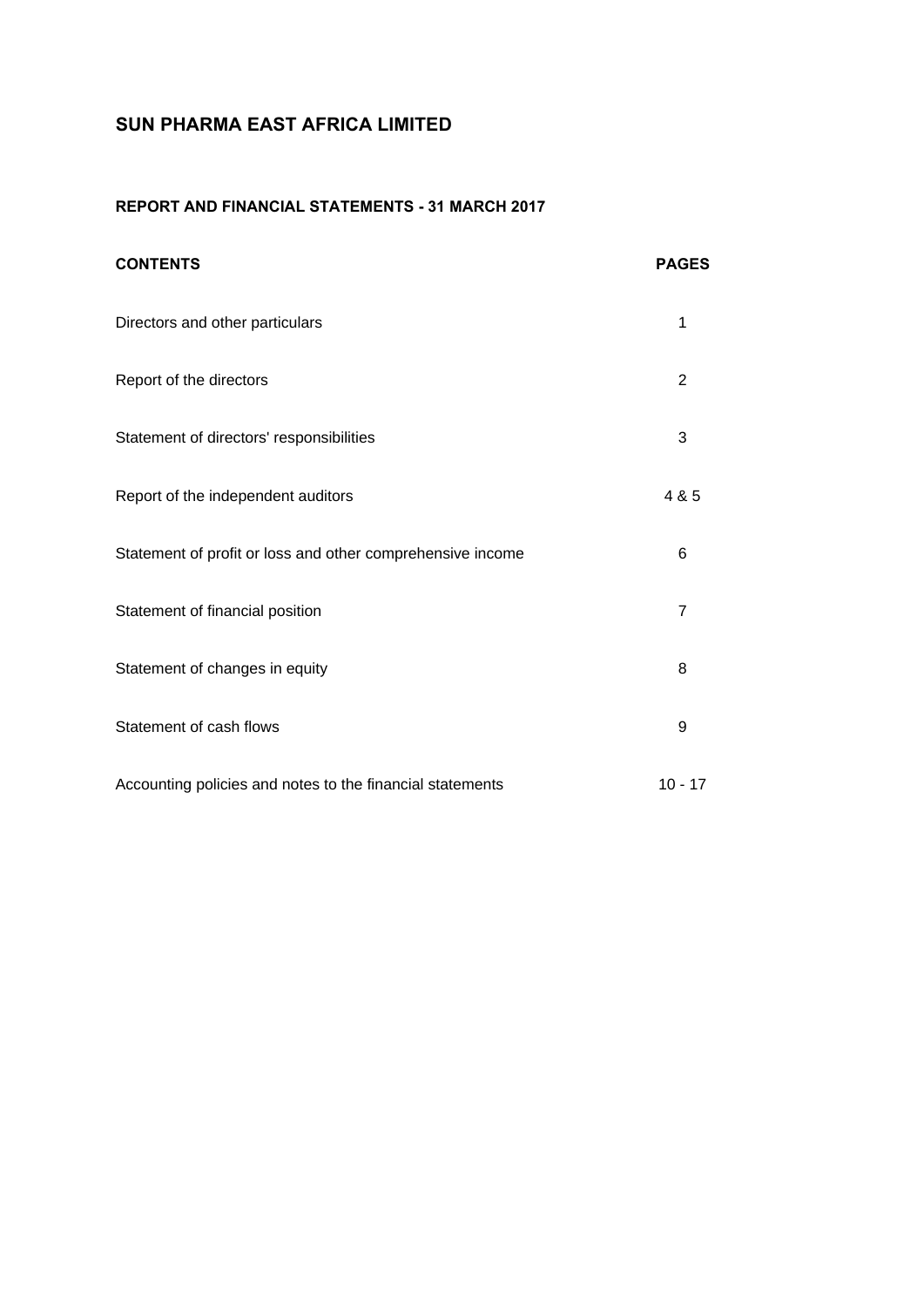## **REPORT AND FINANCIAL STATEMENTS - 31 MARCH 2017**

| <b>CONTENTS</b>                                            | <b>PAGES</b>   |
|------------------------------------------------------------|----------------|
| Directors and other particulars                            | 1              |
| Report of the directors                                    | $\overline{2}$ |
| Statement of directors' responsibilities                   | 3              |
| Report of the independent auditors                         | 4 & 5          |
| Statement of profit or loss and other comprehensive income | 6              |
| Statement of financial position                            | 7              |
| Statement of changes in equity                             | 8              |
| Statement of cash flows                                    | 9              |
| Accounting policies and notes to the financial statements  | $10 - 17$      |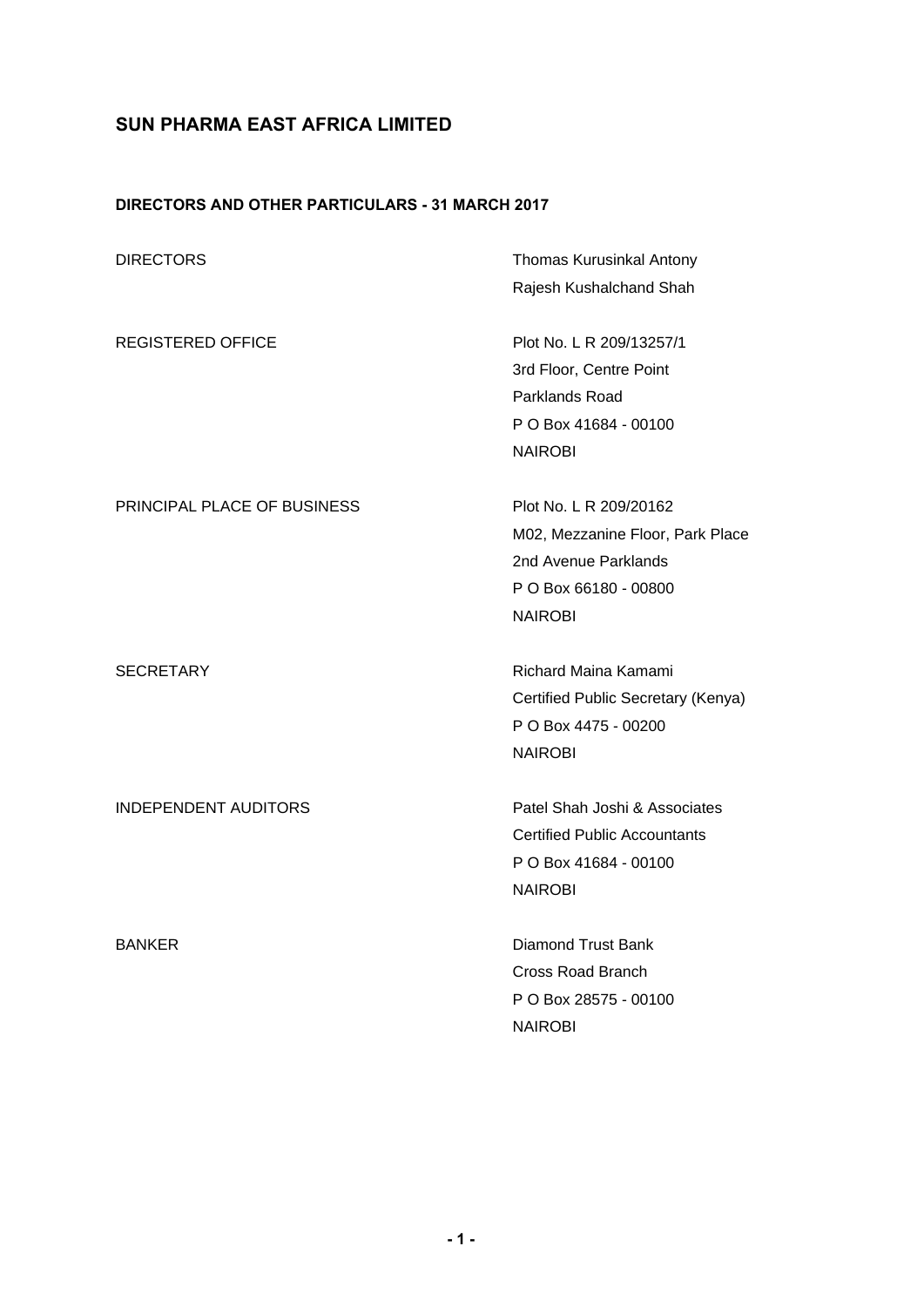## **DIRECTORS AND OTHER PARTICULARS - 31 MARCH 2017**

| <b>DIRECTORS</b>            | Thomas Kurusinkal Antony<br>Rajesh Kushalchand Shah                                                                           |
|-----------------------------|-------------------------------------------------------------------------------------------------------------------------------|
| <b>REGISTERED OFFICE</b>    | Plot No. L R 209/13257/1<br>3rd Floor, Centre Point<br>Parklands Road<br>P O Box 41684 - 00100<br><b>NAIROBI</b>              |
| PRINCIPAL PLACE OF BUSINESS | Plot No. L R 209/20162<br>M02, Mezzanine Floor, Park Place<br>2nd Avenue Parklands<br>P O Box 66180 - 00800<br><b>NAIROBI</b> |
| <b>SECRETARY</b>            | Richard Maina Kamami<br>Certified Public Secretary (Kenya)<br>P O Box 4475 - 00200<br><b>NAIROBI</b>                          |
| <b>INDEPENDENT AUDITORS</b> | Patel Shah Joshi & Associates<br><b>Certified Public Accountants</b><br>P O Box 41684 - 00100<br><b>NAIROBI</b>               |
| <b>BANKER</b>               | Diamond Trust Bank<br><b>Cross Road Branch</b><br>P O Box 28575 - 00100<br><b>NAIROBI</b>                                     |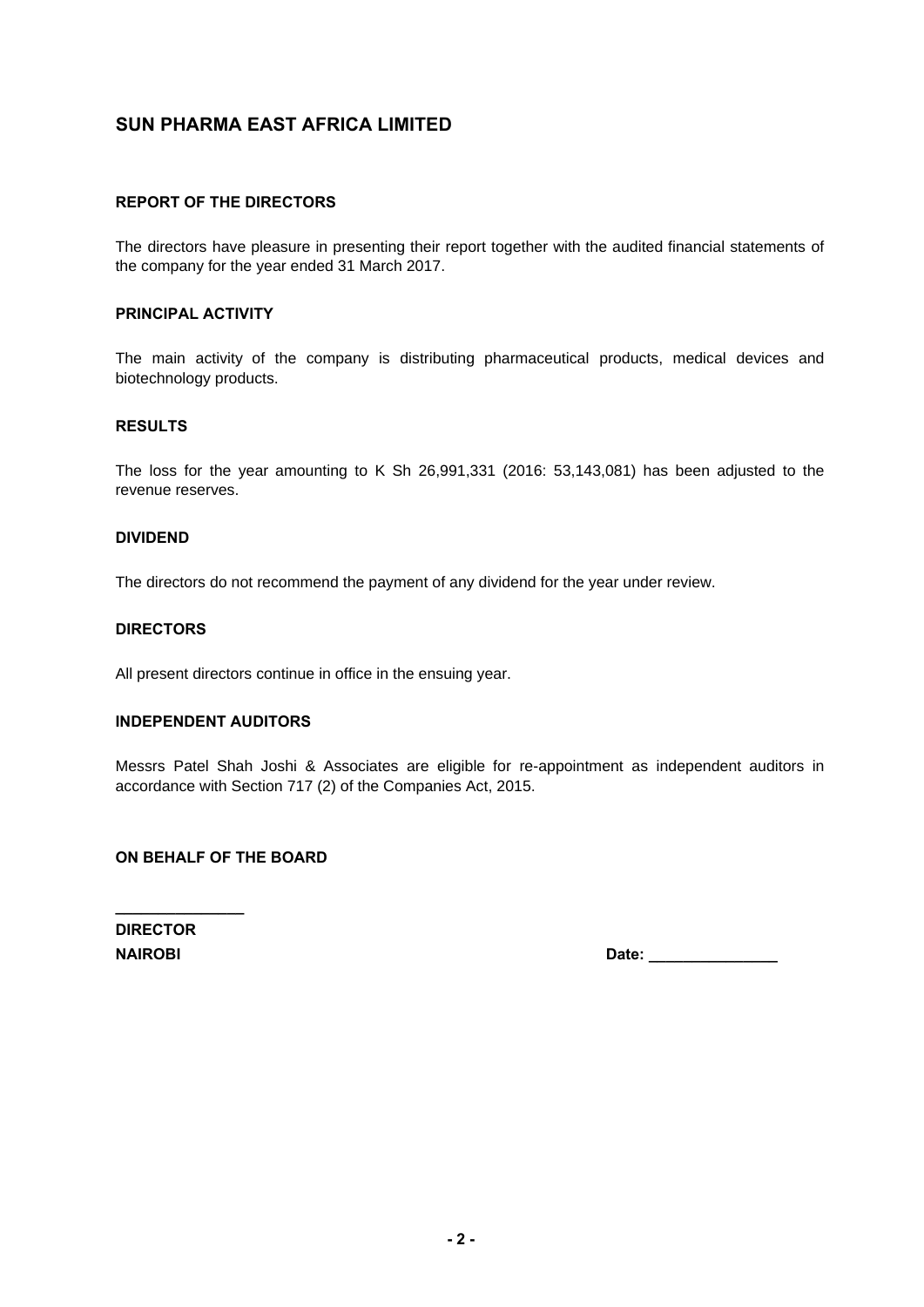### **REPORT OF THE DIRECTORS**

The directors have pleasure in presenting their report together with the audited financial statements of the company for the year ended 31 March 2017.

### **PRINCIPAL ACTIVITY**

The main activity of the company is distributing pharmaceutical products, medical devices and biotechnology products.

#### **RESULTS**

The loss for the year amounting to K Sh 26,991,331 (2016: 53,143,081) has been adjusted to the revenue reserves.

#### **DIVIDEND**

The directors do not recommend the payment of any dividend for the year under review.

#### **DIRECTORS**

All present directors continue in office in the ensuing year.

### **INDEPENDENT AUDITORS**

Messrs Patel Shah Joshi & Associates are eligible for re-appointment as independent auditors in accordance with Section 717 (2) of the Companies Act, 2015.

### **ON BEHALF OF THE BOARD**

**DIRECTOR**

**\_\_\_\_\_\_\_\_\_\_\_\_\_\_\_**

**NAIROBI Date: \_\_\_\_\_\_\_\_\_\_\_\_\_\_\_**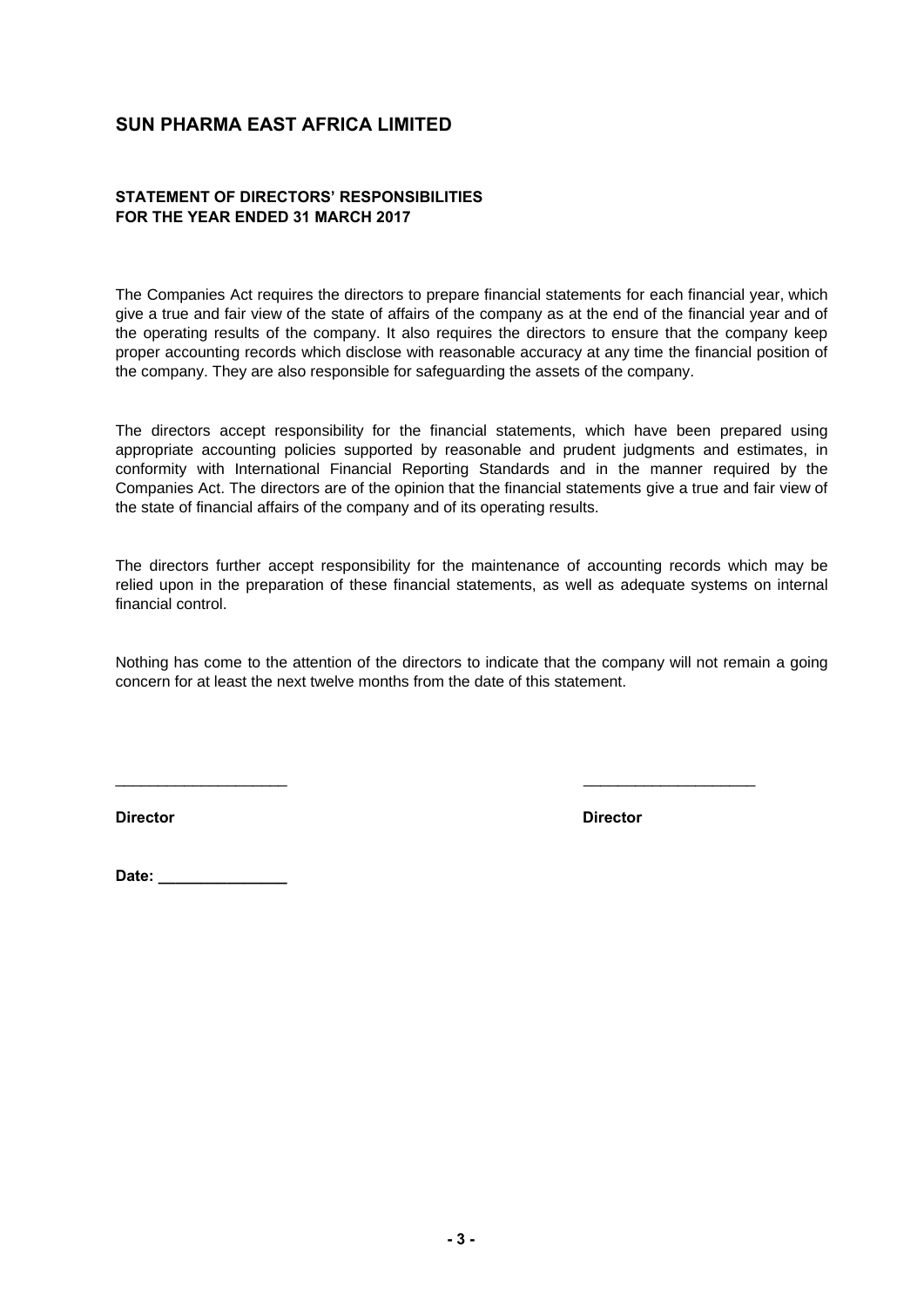### **STATEMENT OF DIRECTORS' RESPONSIBILITIES FOR THE YEAR ENDED 31 MARCH 2017**

The Companies Act requires the directors to prepare financial statements for each financial year, which give a true and fair view of the state of affairs of the company as at the end of the financial year and of the operating results of the company. It also requires the directors to ensure that the company keep proper accounting records which disclose with reasonable accuracy at any time the financial position of the company. They are also responsible for safeguarding the assets of the company.

The directors accept responsibility for the financial statements, which have been prepared using appropriate accounting policies supported by reasonable and prudent judgments and estimates, in conformity with International Financial Reporting Standards and in the manner required by the Companies Act. The directors are of the opinion that the financial statements give a true and fair view of the state of financial affairs of the company and of its operating results.

The directors further accept responsibility for the maintenance of accounting records which may be relied upon in the preparation of these financial statements, as well as adequate systems on internal financial control.

Nothing has come to the attention of the directors to indicate that the company will not remain a going concern for at least the next twelve months from the date of this statement.

\_\_\_\_\_\_\_\_\_\_\_\_\_\_\_\_\_\_\_\_ \_\_\_\_\_\_\_\_\_\_\_\_\_\_\_\_\_\_\_\_

**Director Director** 

**Date: \_\_\_\_\_\_\_\_\_\_\_\_\_\_\_**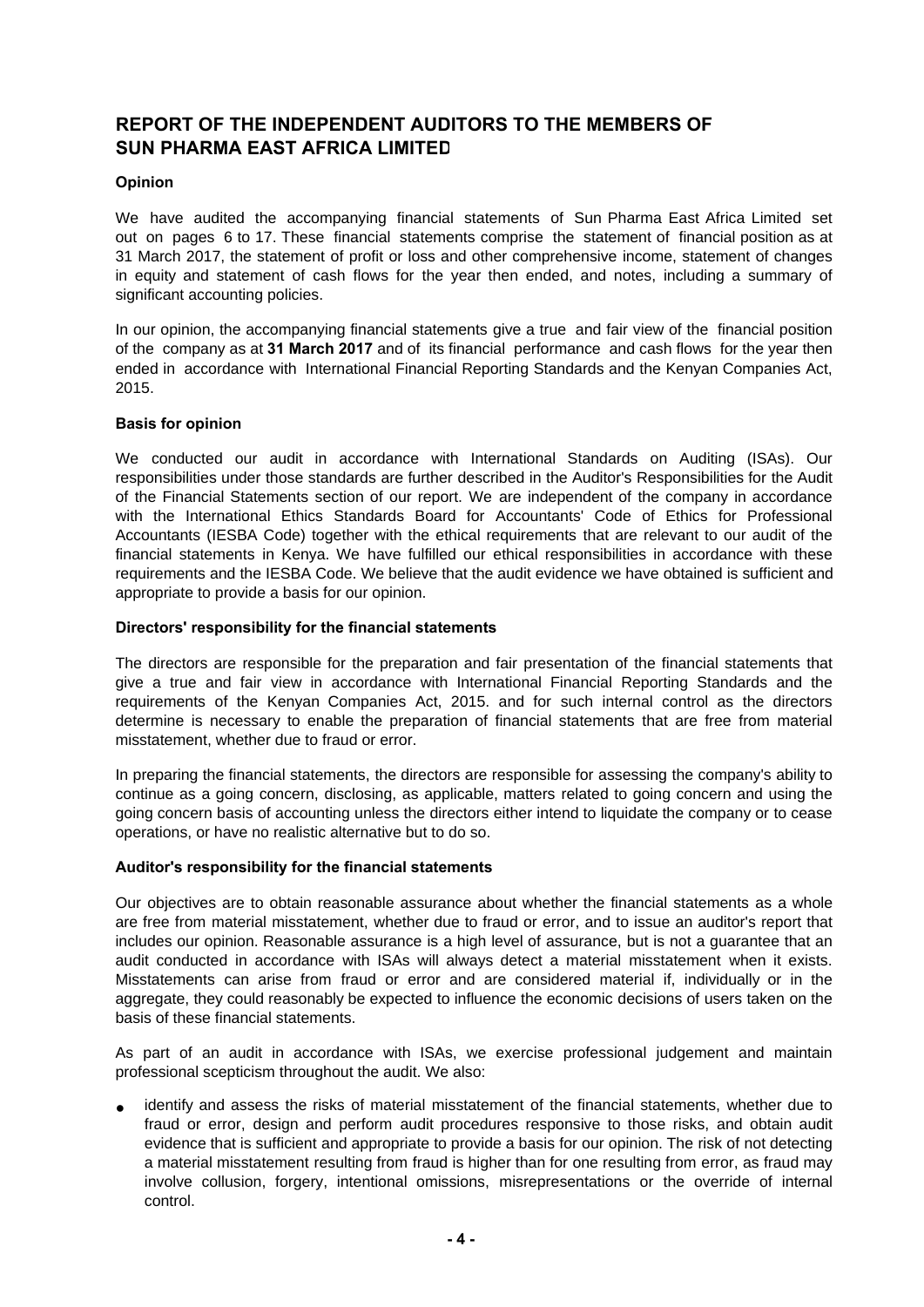# **REPORT OF THE INDEPENDENT AUDITORS TO THE MEMBERS OF SUN PHARMA EAST AFRICA LIMITED**

### **Opinion**

We have audited the accompanying financial statements of Sun Pharma East Africa Limited set out on pages 6 to 17. These financial statements comprise the statement of financial position as at 31 March 2017, the statement of profit or loss and other comprehensive income, statement of changes in equity and statement of cash flows for the year then ended, and notes, including a summary of significant accounting policies.

In our opinion, the accompanying financial statements give a true and fair view of the financial position of the company as at **31 March 2017** and of its financial performance and cash flows for the year then ended in accordance with International Financial Reporting Standards and the Kenyan Companies Act, 2015.

#### **Basis for opinion**

We conducted our audit in accordance with International Standards on Auditing (ISAs). Our responsibilities under those standards are further described in the Auditor's Responsibilities for the Audit of the Financial Statements section of our report. We are independent of the company in accordance with the International Ethics Standards Board for Accountants' Code of Ethics for Professional Accountants (IESBA Code) together with the ethical requirements that are relevant to our audit of the financial statements in Kenya. We have fulfilled our ethical responsibilities in accordance with these requirements and the IESBA Code. We believe that the audit evidence we have obtained is sufficient and appropriate to provide a basis for our opinion.

#### **Directors' responsibility for the financial statements**

The directors are responsible for the preparation and fair presentation of the financial statements that give a true and fair view in accordance with International Financial Reporting Standards and the requirements of the Kenyan Companies Act, 2015. and for such internal control as the directors determine is necessary to enable the preparation of financial statements that are free from material misstatement, whether due to fraud or error.

In preparing the financial statements, the directors are responsible for assessing the company's ability to continue as a going concern, disclosing, as applicable, matters related to going concern and using the going concern basis of accounting unless the directors either intend to liquidate the company or to cease operations, or have no realistic alternative but to do so.

### **Auditor's responsibility for the financial statements**

Our objectives are to obtain reasonable assurance about whether the financial statements as a whole are free from material misstatement, whether due to fraud or error, and to issue an auditor's report that includes our opinion. Reasonable assurance is a high level of assurance, but is not a guarantee that an audit conducted in accordance with ISAs will always detect a material misstatement when it exists. Misstatements can arise from fraud or error and are considered material if, individually or in the aggregate, they could reasonably be expected to influence the economic decisions of users taken on the basis of these financial statements.

As part of an audit in accordance with ISAs, we exercise professional judgement and maintain professional scepticism throughout the audit. We also:

**●** identify and assess the risks of material misstatement of the financial statements, whether due to fraud or error, design and perform audit procedures responsive to those risks, and obtain audit evidence that is sufficient and appropriate to provide a basis for our opinion. The risk of not detecting a material misstatement resulting from fraud is higher than for one resulting from error, as fraud may involve collusion, forgery, intentional omissions, misrepresentations or the override of internal control.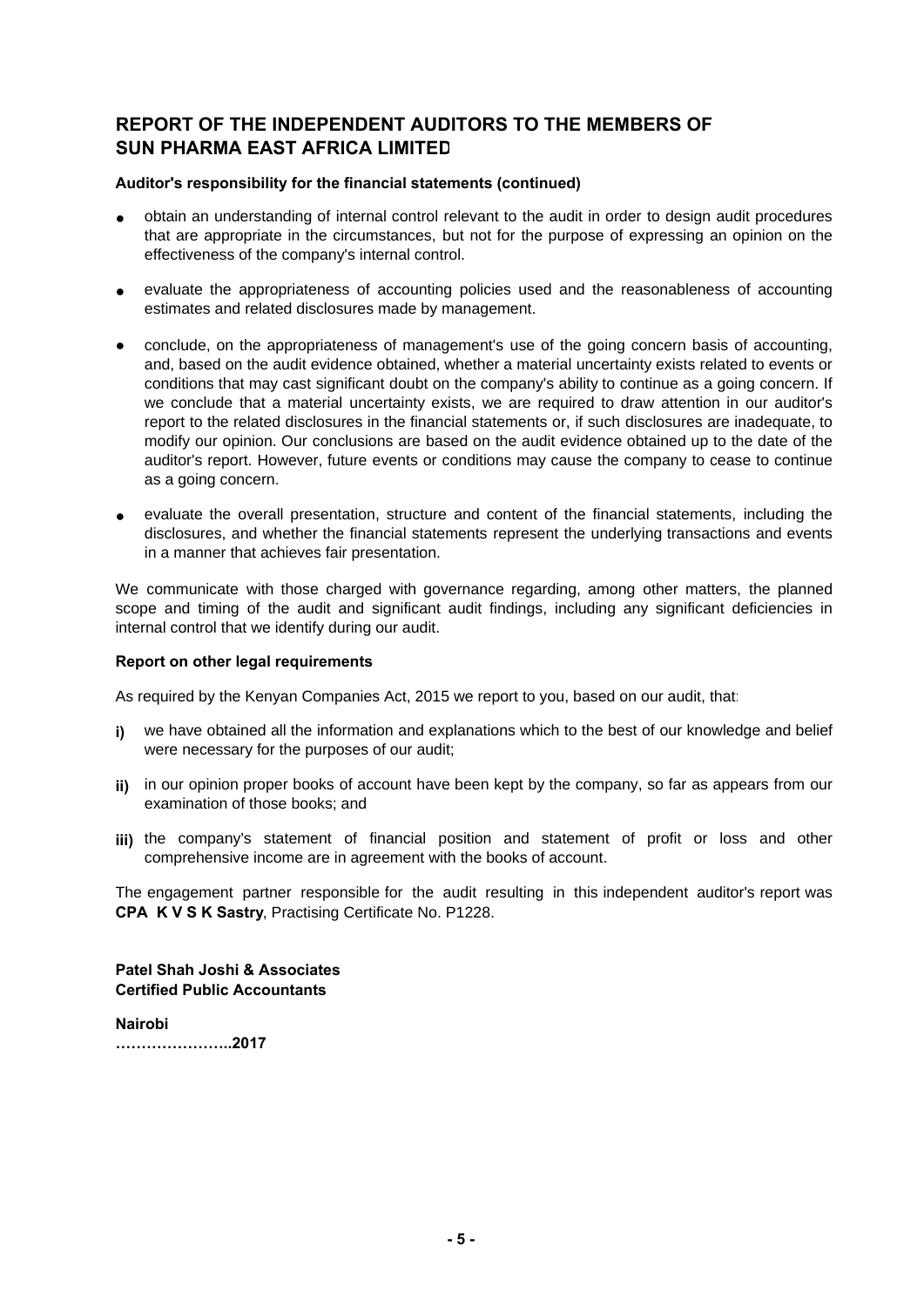# **REPORT OF THE INDEPENDENT AUDITORS TO THE MEMBERS OF SUN PHARMA EAST AFRICA LIMITED**

### **Auditor's responsibility for the financial statements (continued)**

- **●** obtain an understanding of internal control relevant to the audit in order to design audit procedures that are appropriate in the circumstances, but not for the purpose of expressing an opinion on the effectiveness of the company's internal control.
- **●** evaluate the appropriateness of accounting policies used and the reasonableness of accounting estimates and related disclosures made by management.
- **●** conclude, on the appropriateness of management's use of the going concern basis of accounting, and, based on the audit evidence obtained, whether a material uncertainty exists related to events or conditions that may cast significant doubt on the company's ability to continue as a going concern. If we conclude that a material uncertainty exists, we are required to draw attention in our auditor's report to the related disclosures in the financial statements or, if such disclosures are inadequate, to modify our opinion. Our conclusions are based on the audit evidence obtained up to the date of the auditor's report. However, future events or conditions may cause the company to cease to continue as a going concern.
- **●** evaluate the overall presentation, structure and content of the financial statements, including the disclosures, and whether the financial statements represent the underlying transactions and events in a manner that achieves fair presentation.

We communicate with those charged with governance regarding, among other matters, the planned scope and timing of the audit and significant audit findings, including any significant deficiencies in internal control that we identify during our audit.

#### **Report on other legal requirements**

As required by the Kenyan Companies Act, 2015 we report to you, based on our audit, that:

- **i)** we have obtained all the information and explanations which to the best of our knowledge and belief were necessary for the purposes of our audit;
- **ii)** in our opinion proper books of account have been kept by the company, so far as appears from our examination of those books; and
- **iii)** the company's statement of financial position and statement of profit or loss and other comprehensive income are in agreement with the books of account.

The engagement partner responsible for the audit resulting in this independent auditor's report was **CPA K V S K Sastry**, Practising Certificate No. P1228.

**Patel Shah Joshi & Associates Certified Public Accountants** 

**Nairobi …………………..2017**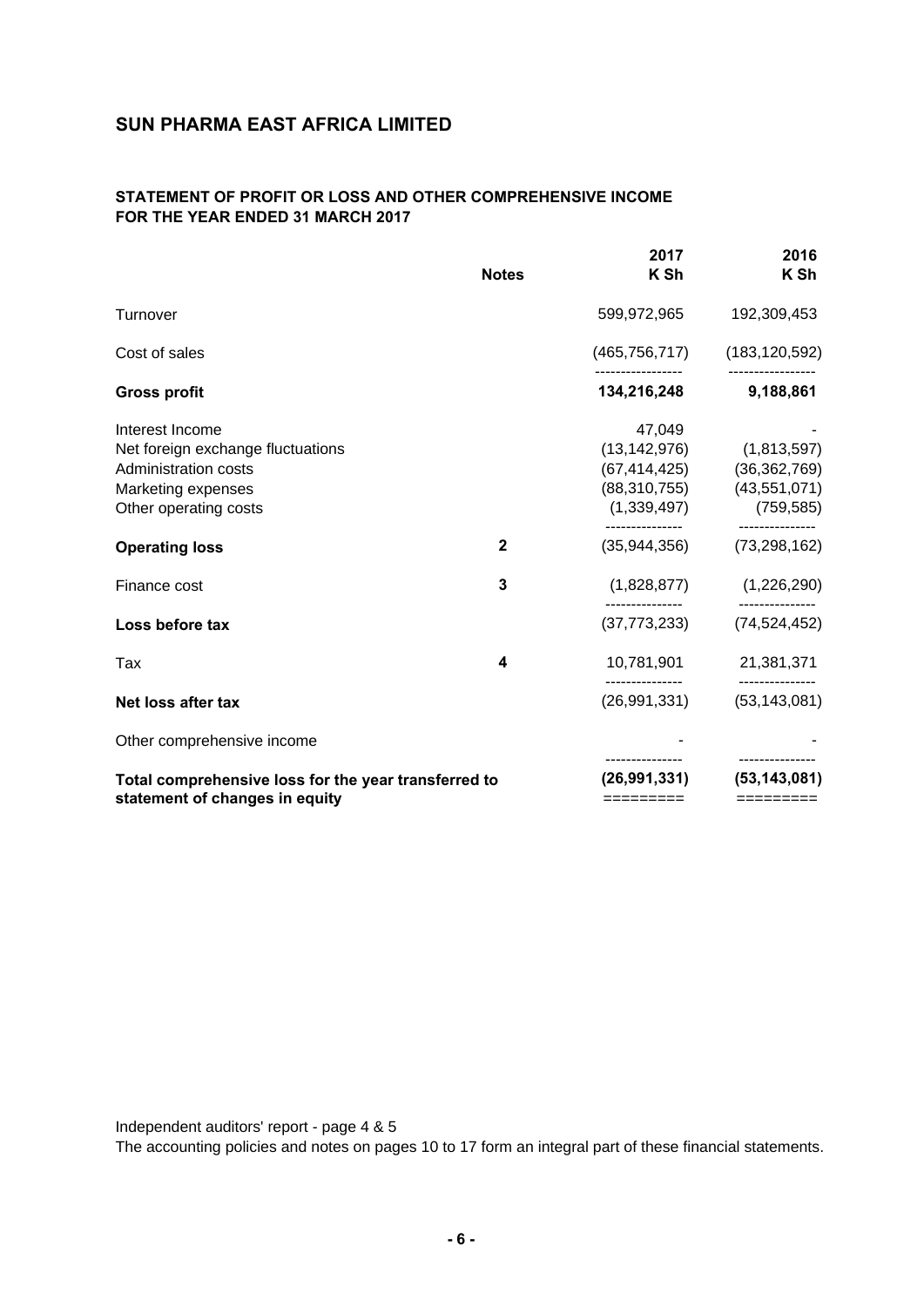## **STATEMENT OF PROFIT OR LOSS AND OTHER COMPREHENSIVE INCOME FOR THE YEAR ENDED 31 MARCH 2017**

|                                                                                                                                                                      | <b>Notes</b>      | 2017<br>K Sh                          | 2016<br>K Sh                                                                                                                                                                           |
|----------------------------------------------------------------------------------------------------------------------------------------------------------------------|-------------------|---------------------------------------|----------------------------------------------------------------------------------------------------------------------------------------------------------------------------------------|
| Turnover                                                                                                                                                             |                   | 599,972,965                           | 192,309,453                                                                                                                                                                            |
| Cost of sales                                                                                                                                                        |                   |                                       | $(465, 756, 717)$ $(183, 120, 592)$                                                                                                                                                    |
| <b>Gross profit</b>                                                                                                                                                  |                   | 134,216,248                           | 9,188,861                                                                                                                                                                              |
| Interest Income<br>Net foreign exchange fluctuations<br>Administration costs<br>Marketing expenses<br>Other operating costs<br><b>Operating loss</b><br>Finance cost | $\mathbf{2}$<br>3 | 47,049<br>(1,339,497)<br>(35,944,356) | $(13, 142, 976)$ $(1, 813, 597)$<br>$(67, 414, 425)$ $(36, 362, 769)$<br>$(88,310,755)$ $(43,551,071)$<br>(759,585)<br>--------------<br>(73, 298, 162)<br>$(1,828,877)$ $(1,226,290)$ |
| Loss before tax                                                                                                                                                      |                   | (37,773,233)                          | (74, 524, 452)                                                                                                                                                                         |
| Tax                                                                                                                                                                  | 4                 |                                       | 10,781,901 21,381,371                                                                                                                                                                  |
| Net loss after tax                                                                                                                                                   |                   | (26,991,331)                          | (53, 143, 081)                                                                                                                                                                         |
| Other comprehensive income                                                                                                                                           |                   |                                       | -------------                                                                                                                                                                          |
| Total comprehensive loss for the year transferred to<br>statement of changes in equity                                                                               |                   | (26,991,331)<br>=========             | (53, 143, 081)<br>$=$ =========                                                                                                                                                        |

Independent auditors' report - page 4 & 5

The accounting policies and notes on pages 10 to 17 form an integral part of these financial statements.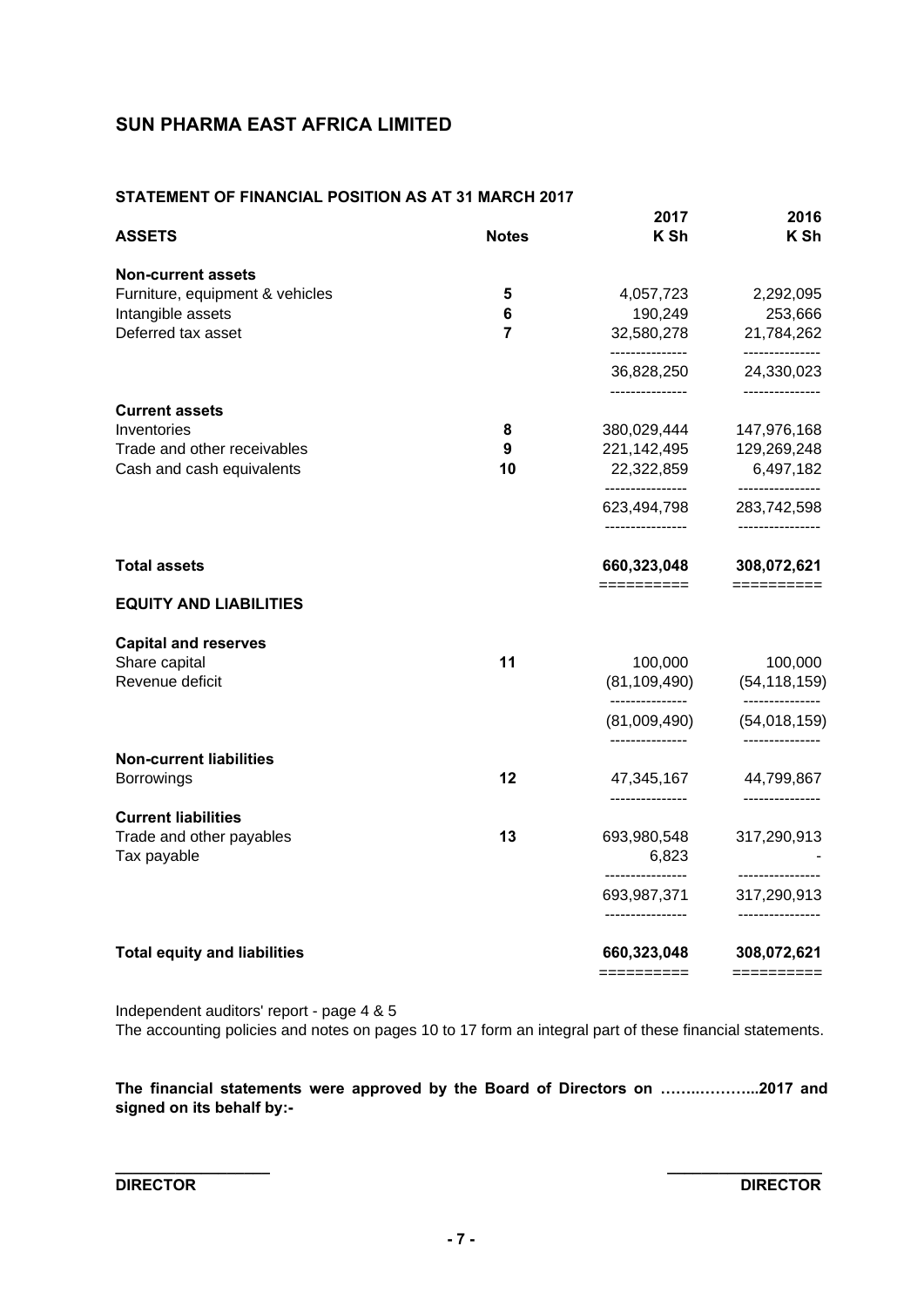## **STATEMENT OF FINANCIAL POSITION AS AT 31 MARCH 2017**

| <b>ASSETS</b>                       | <b>Notes</b>   | 2017<br>K Sh                      | 2016<br>K Sh                      |
|-------------------------------------|----------------|-----------------------------------|-----------------------------------|
| <b>Non-current assets</b>           |                |                                   |                                   |
| Furniture, equipment & vehicles     | 5              | 4,057,723                         | 2,292,095                         |
| Intangible assets                   | 6              | 190,249                           | 253,666                           |
| Deferred tax asset                  | $\overline{7}$ | 32,580,278                        | 21,784,262                        |
|                                     |                | ---------------                   | ---------------                   |
|                                     |                | 36,828,250                        | 24,330,023                        |
|                                     |                | ---------------                   | ---------------                   |
| <b>Current assets</b>               |                |                                   |                                   |
| Inventories                         | 8              | 380,029,444                       | 147,976,168                       |
| Trade and other receivables         | 9              | 221,142,495                       | 129,269,248                       |
| Cash and cash equivalents           | 10             | 22,322,859<br>----------------    | 6,497,182                         |
|                                     |                | 623,494,798                       | --------------<br>283,742,598     |
|                                     |                | ----------------                  | ----------------                  |
| <b>Total assets</b>                 |                | 660,323,048<br>==========         | 308,072,621<br>$=$ ==========     |
| <b>EQUITY AND LIABILITIES</b>       |                |                                   |                                   |
| <b>Capital and reserves</b>         |                |                                   |                                   |
| Share capital                       | 11             | 100,000                           | 100,000                           |
| Revenue deficit                     |                | (81, 109, 490)<br>--------------- | (54, 118, 159)<br>--------------- |
|                                     |                | (81,009,490)                      | (54, 018, 159)                    |
| <b>Non-current liabilities</b>      |                | ---------------                   | ---------------                   |
| <b>Borrowings</b>                   | 12             | 47,345,167                        | 44,799,867                        |
| <b>Current liabilities</b>          |                | ---------------                   | ---------------                   |
| Trade and other payables            | 13             | 693,980,548                       | 317,290,913                       |
| Tax payable                         |                | 6,823                             |                                   |
|                                     |                | ----------------<br>693,987,371   | ----------------<br>317,290,913   |
|                                     |                | ----------------                  | ----------------                  |
| <b>Total equity and liabilities</b> |                | 660,323,048                       | 308,072,621                       |
|                                     |                | ==========                        | ==========                        |

Independent auditors' report - page 4 & 5

The accounting policies and notes on pages 10 to 17 form an integral part of these financial statements.

**The financial statements were approved by the Board of Directors on ……..………...2017 and signed on its behalf by:-**

**\_\_\_\_\_\_\_\_\_\_\_\_\_\_\_\_\_\_ \_\_\_\_\_\_\_\_\_\_\_\_\_\_\_\_\_\_**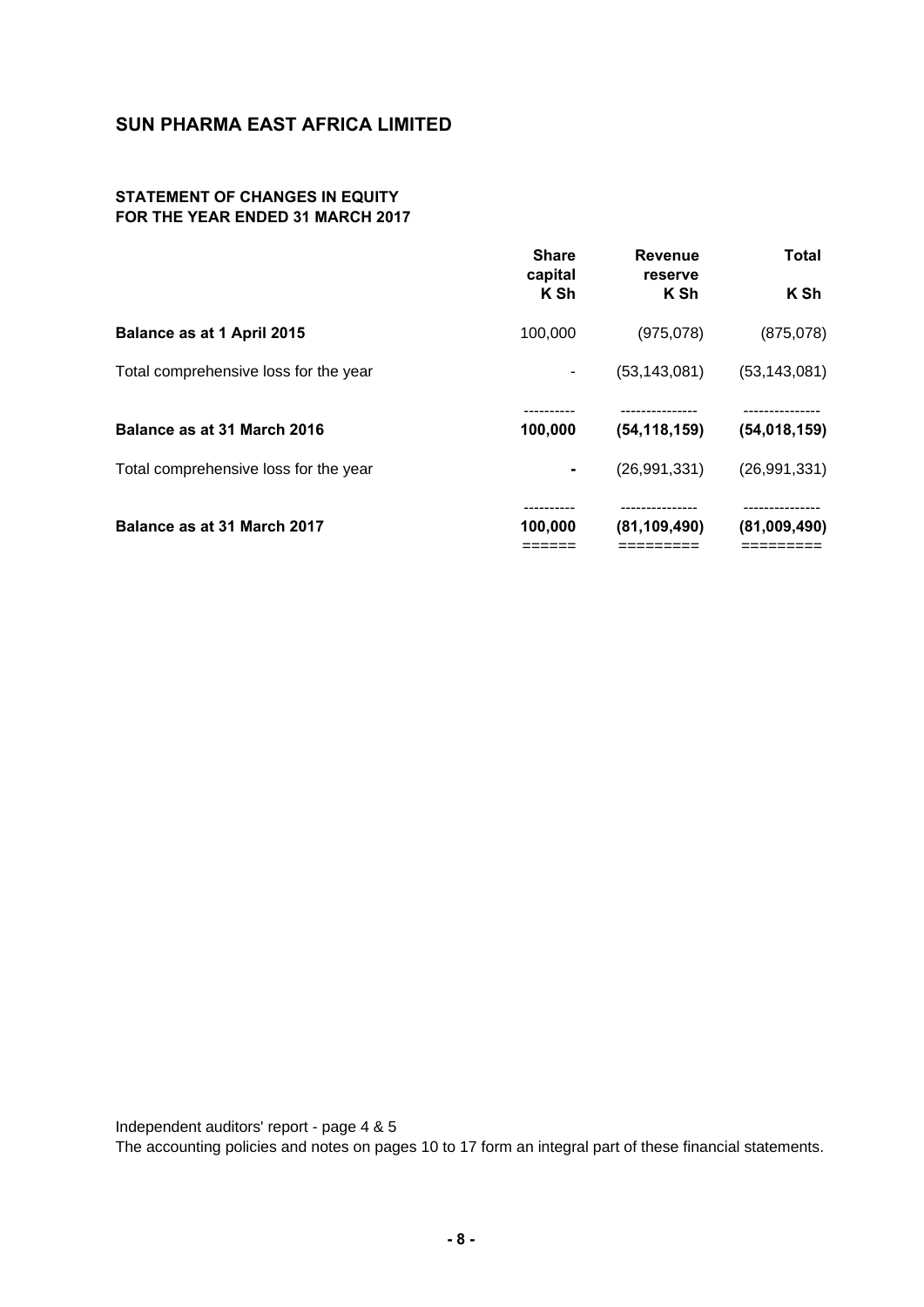## **STATEMENT OF CHANGES IN EQUITY FOR THE YEAR ENDED 31 MARCH 2017**

|                                       | <b>Share</b><br>capital<br>K Sh | <b>Revenue</b><br>reserve<br>K Sh | <b>Total</b><br>K Sh |
|---------------------------------------|---------------------------------|-----------------------------------|----------------------|
| Balance as at 1 April 2015            | 100,000                         | (975,078)                         | (875,078)            |
| Total comprehensive loss for the year |                                 | (53, 143, 081)                    | (53, 143, 081)       |
| Balance as at 31 March 2016           | 100,000                         | (54, 118, 159)                    | (54, 018, 159)       |
| Total comprehensive loss for the year | $\blacksquare$                  | (26,991,331)                      | (26, 991, 331)       |
| Balance as at 31 March 2017           | 100,000                         | (81, 109, 490)                    | .<br>(81,009,490)    |

Independent auditors' report - page 4 & 5 The accounting policies and notes on pages 10 to 17 form an integral part of these financial statements.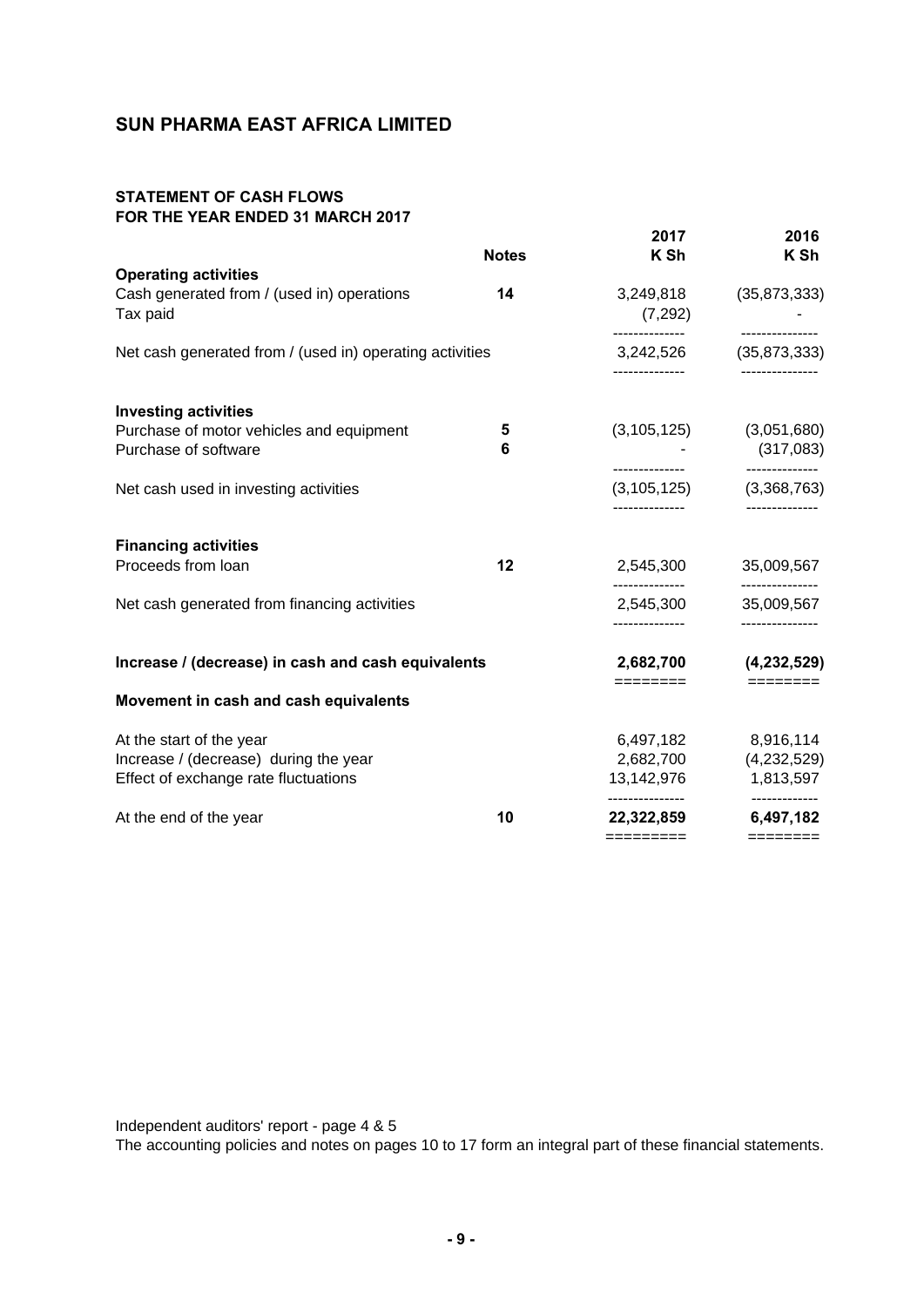## **STATEMENT OF CASH FLOWS FOR THE YEAR ENDED 31 MARCH 2017**

|                                                                  | <b>Notes</b> | 2017<br>K Sh                                      | 2016<br>K Sh                                     |
|------------------------------------------------------------------|--------------|---------------------------------------------------|--------------------------------------------------|
| <b>Operating activities</b>                                      |              |                                                   |                                                  |
| Cash generated from / (used in) operations<br>Tax paid           | 14           | 3,249,818<br>(7, 292)                             | (35,873,333)                                     |
| Net cash generated from / (used in) operating activities         |              | --------------<br>3,242,526                       | ---------------<br>(35,873,333)                  |
|                                                                  |              | --------------                                    | ---------------                                  |
| <b>Investing activities</b>                                      |              |                                                   |                                                  |
| Purchase of motor vehicles and equipment<br>Purchase of software | 5<br>6       | (3, 105, 125)                                     | (3,051,680)<br>(317,083)                         |
| Net cash used in investing activities                            |              | --------------<br>(3, 105, 125)<br>-------------- | ------------<br>(3,368,763)<br>--------------    |
| <b>Financing activities</b>                                      |              |                                                   |                                                  |
| Proceeds from loan                                               | 12           | 2,545,300                                         | 35,009,567                                       |
| Net cash generated from financing activities                     |              | --------------<br>2,545,300<br>--------------     | ---------------<br>35,009,567<br>--------------- |
| Increase / (decrease) in cash and cash equivalents               |              | 2,682,700                                         | (4, 232, 529)                                    |
| Movement in cash and cash equivalents                            |              | ========                                          |                                                  |
| At the start of the year                                         |              | 6,497,182                                         | 8,916,114                                        |
| Increase / (decrease) during the year                            |              | 2,682,700                                         | (4,232,529)                                      |
| Effect of exchange rate fluctuations                             |              | 13,142,976                                        | 1,813,597                                        |
| At the end of the year                                           | 10           | ---------------<br>22,322,859                     | ---------<br>6,497,182                           |
|                                                                  |              | =========                                         |                                                  |

Independent auditors' report - page 4 & 5

The accounting policies and notes on pages 10 to 17 form an integral part of these financial statements.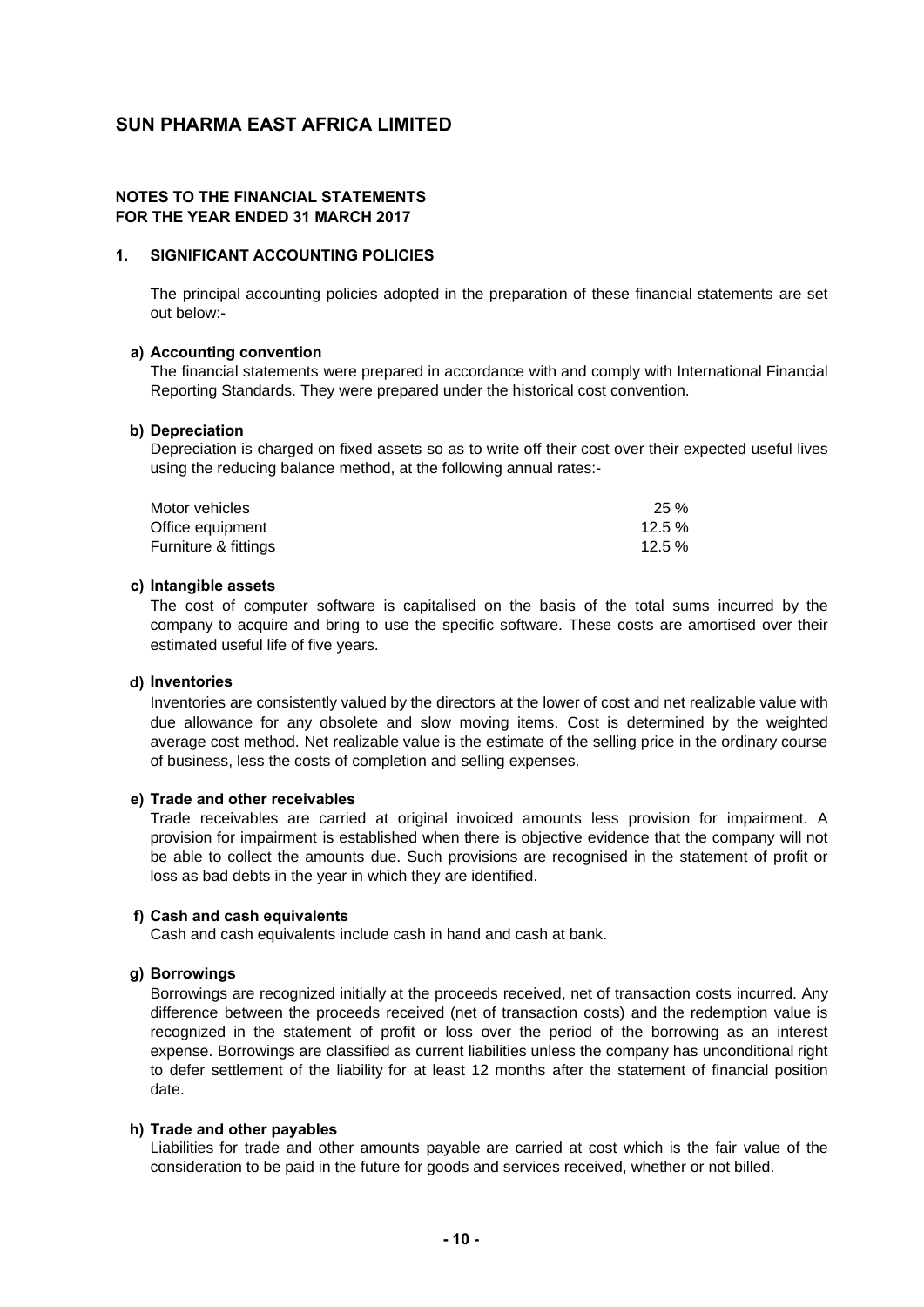### **NOTES TO THE FINANCIAL STATEMENTS FOR THE YEAR ENDED 31 MARCH 2017**

### **1. SIGNIFICANT ACCOUNTING POLICIES**

The principal accounting policies adopted in the preparation of these financial statements are set out below:-

#### **a) Accounting convention**

The financial statements were prepared in accordance with and comply with International Financial Reporting Standards. They were prepared under the historical cost convention.

#### **b) Depreciation**

Depreciation is charged on fixed assets so as to write off their cost over their expected useful lives using the reducing balance method, at the following annual rates:-

| Motor vehicles       | 25%   |
|----------------------|-------|
| Office equipment     | 12.5% |
| Furniture & fittings | 12.5% |

#### **c) Intangible assets**

The cost of computer software is capitalised on the basis of the total sums incurred by the company to acquire and bring to use the specific software. These costs are amortised over their estimated useful life of five years.

### **d) Inventories**

Inventories are consistently valued by the directors at the lower of cost and net realizable value with due allowance for any obsolete and slow moving items. Cost is determined by the weighted average cost method. Net realizable value is the estimate of the selling price in the ordinary course of business, less the costs of completion and selling expenses.

#### **e) Trade and other receivables**

Trade receivables are carried at original invoiced amounts less provision for impairment. A provision for impairment is established when there is objective evidence that the company will not be able to collect the amounts due. Such provisions are recognised in the statement of profit or loss as bad debts in the year in which they are identified.

#### **f) Cash and cash equivalents**

Cash and cash equivalents include cash in hand and cash at bank.

#### **g) Borrowings**

Borrowings are recognized initially at the proceeds received, net of transaction costs incurred. Any difference between the proceeds received (net of transaction costs) and the redemption value is recognized in the statement of profit or loss over the period of the borrowing as an interest expense. Borrowings are classified as current liabilities unless the company has unconditional right to defer settlement of the liability for at least 12 months after the statement of financial position date.

#### **h) Trade and other payables**

Liabilities for trade and other amounts payable are carried at cost which is the fair value of the consideration to be paid in the future for goods and services received, whether or not billed.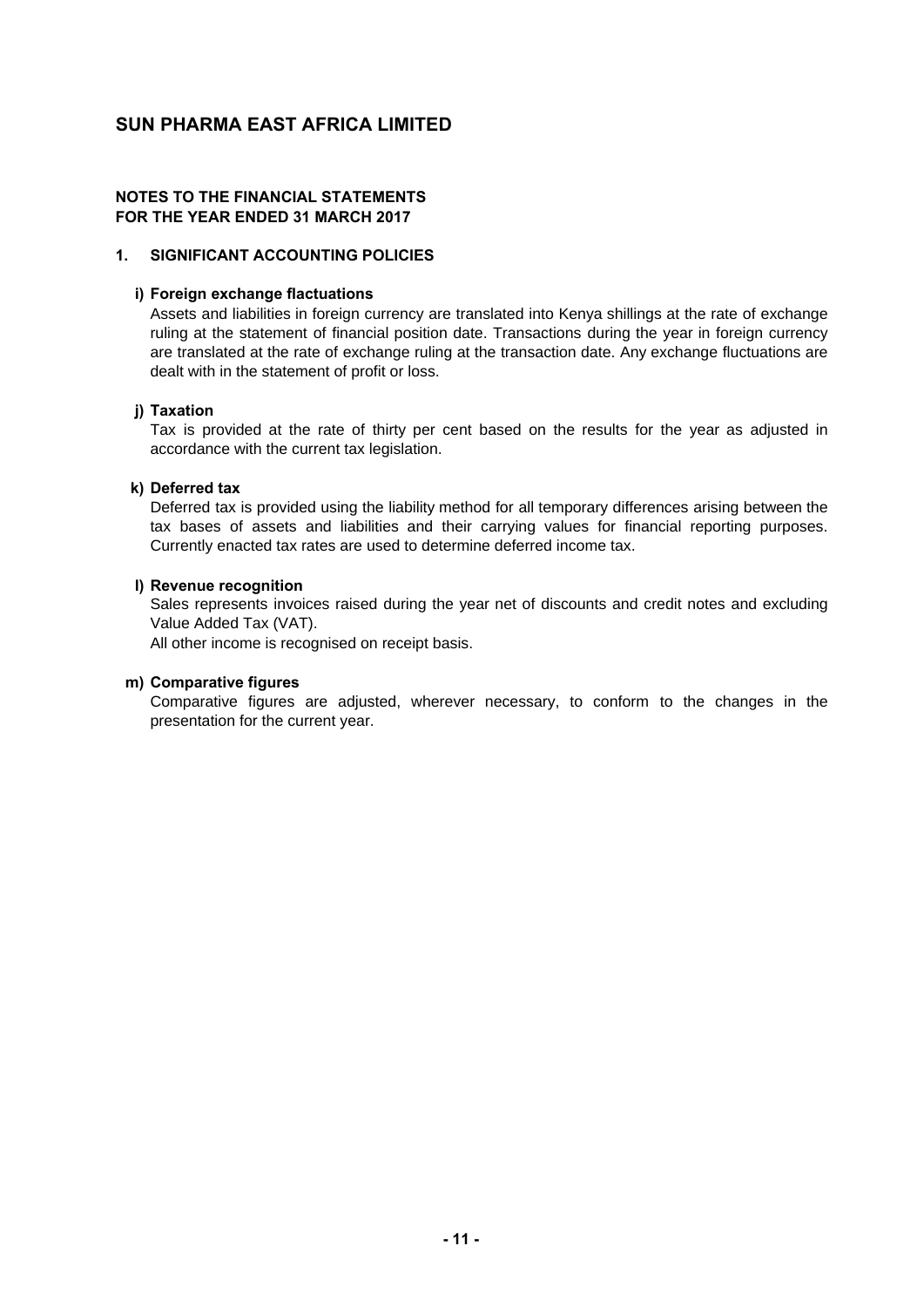### **NOTES TO THE FINANCIAL STATEMENTS FOR THE YEAR ENDED 31 MARCH 2017**

### **1. SIGNIFICANT ACCOUNTING POLICIES**

### **i) Foreign exchange flactuations**

Assets and liabilities in foreign currency are translated into Kenya shillings at the rate of exchange ruling at the statement of financial position date. Transactions during the year in foreign currency are translated at the rate of exchange ruling at the transaction date. Any exchange fluctuations are dealt with in the statement of profit or loss.

### **j) Taxation**

Tax is provided at the rate of thirty per cent based on the results for the year as adjusted in accordance with the current tax legislation.

### **k) Deferred tax**

Deferred tax is provided using the liability method for all temporary differences arising between the tax bases of assets and liabilities and their carrying values for financial reporting purposes. Currently enacted tax rates are used to determine deferred income tax.

### **l) Revenue recognition**

Sales represents invoices raised during the year net of discounts and credit notes and excluding Value Added Tax (VAT).

All other income is recognised on receipt basis.

### **m) Comparative figures**

Comparative figures are adjusted, wherever necessary, to conform to the changes in the presentation for the current year.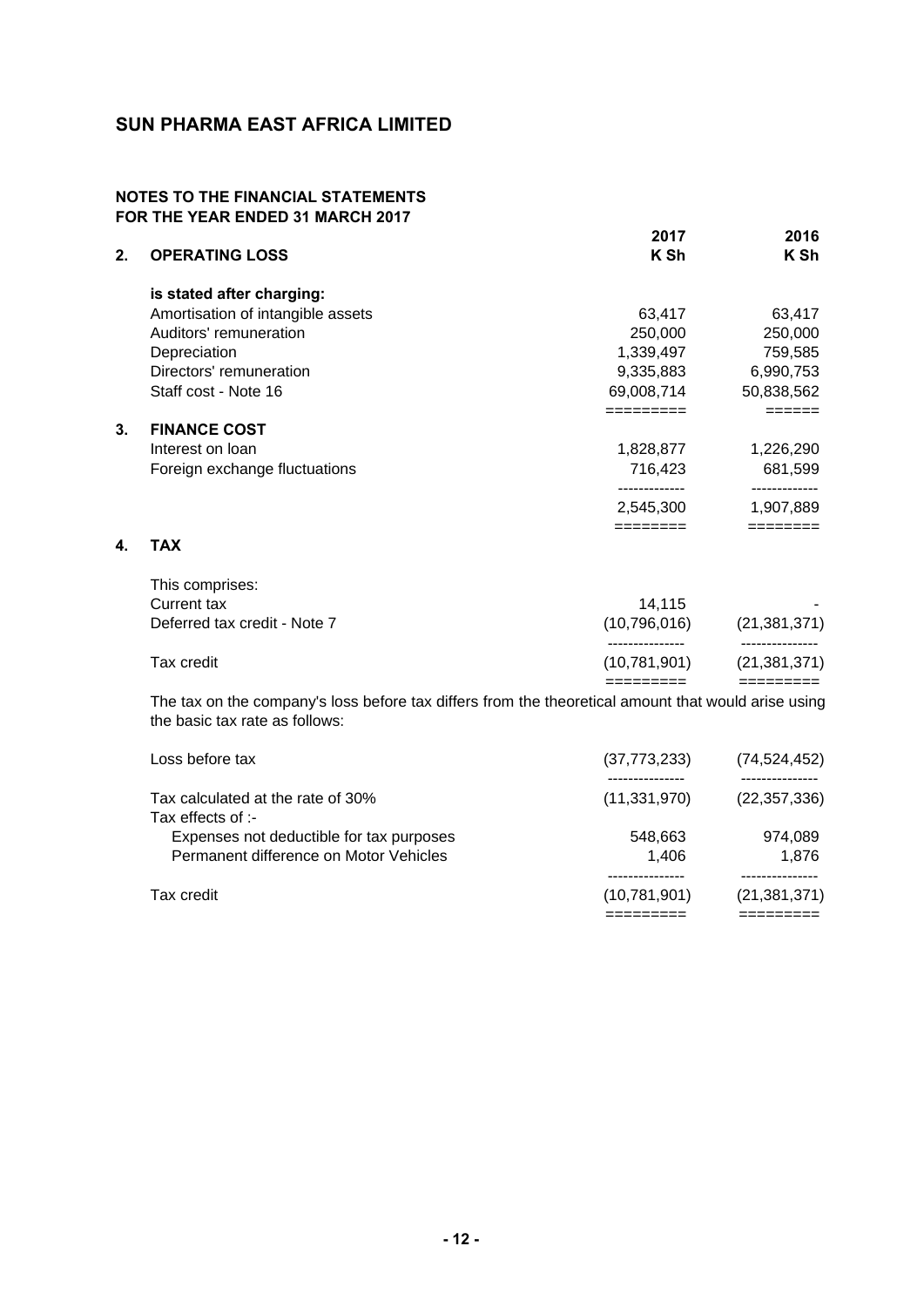### **NOTES TO THE FINANCIAL STATEMENTS FOR THE YEAR ENDED 31 MARCH 2017**

|    |                                   | 2017         | 2016        |
|----|-----------------------------------|--------------|-------------|
| 2. | <b>OPERATING LOSS</b>             | K Sh         | K Sh        |
|    | is stated after charging:         |              |             |
|    | Amortisation of intangible assets | 63,417       | 63,417      |
|    | Auditors' remuneration            | 250,000      | 250,000     |
|    | Depreciation                      | 1,339,497    | 759,585     |
|    | Directors' remuneration           | 9,335,883    | 6,990,753   |
|    | Staff cost - Note 16              | 69.008.714   | 50,838,562  |
|    |                                   |              |             |
| 3. | <b>FINANCE COST</b>               |              |             |
|    | Interest on loan                  | 1,828,877    | 1,226,290   |
|    | Foreign exchange fluctuations     | 716,423      | 681,599     |
|    |                                   | ------------ | ----------- |
|    |                                   | 2,545,300    | 1,907,889   |
|    |                                   | --------     |             |

## **4. TAX**

| Tax credit                   | (10,781,901) | (21, 381, 371) |
|------------------------------|--------------|----------------|
|                              |              |                |
| Deferred tax credit - Note 7 | (10,796,016) | (21, 381, 371) |
| Current tax                  | 14.115       |                |
| This comprises:              |              |                |

The tax on the company's loss before tax differs from the theoretical amount that would arise using the basic tax rate as follows:

| Tax credit                               | (10,781,901)   | (21, 381, 371) |
|------------------------------------------|----------------|----------------|
|                                          |                |                |
| Permanent difference on Motor Vehicles   | 1.406          | 1.876          |
| Expenses not deductible for tax purposes | 548,663        | 974.089        |
| Tax effects of :-                        |                |                |
| Tax calculated at the rate of 30%        | (11, 331, 970) | (22, 357, 336) |
|                                          |                |                |
| Loss before tax                          | (37,773,233)   | (74, 524, 452) |
|                                          |                |                |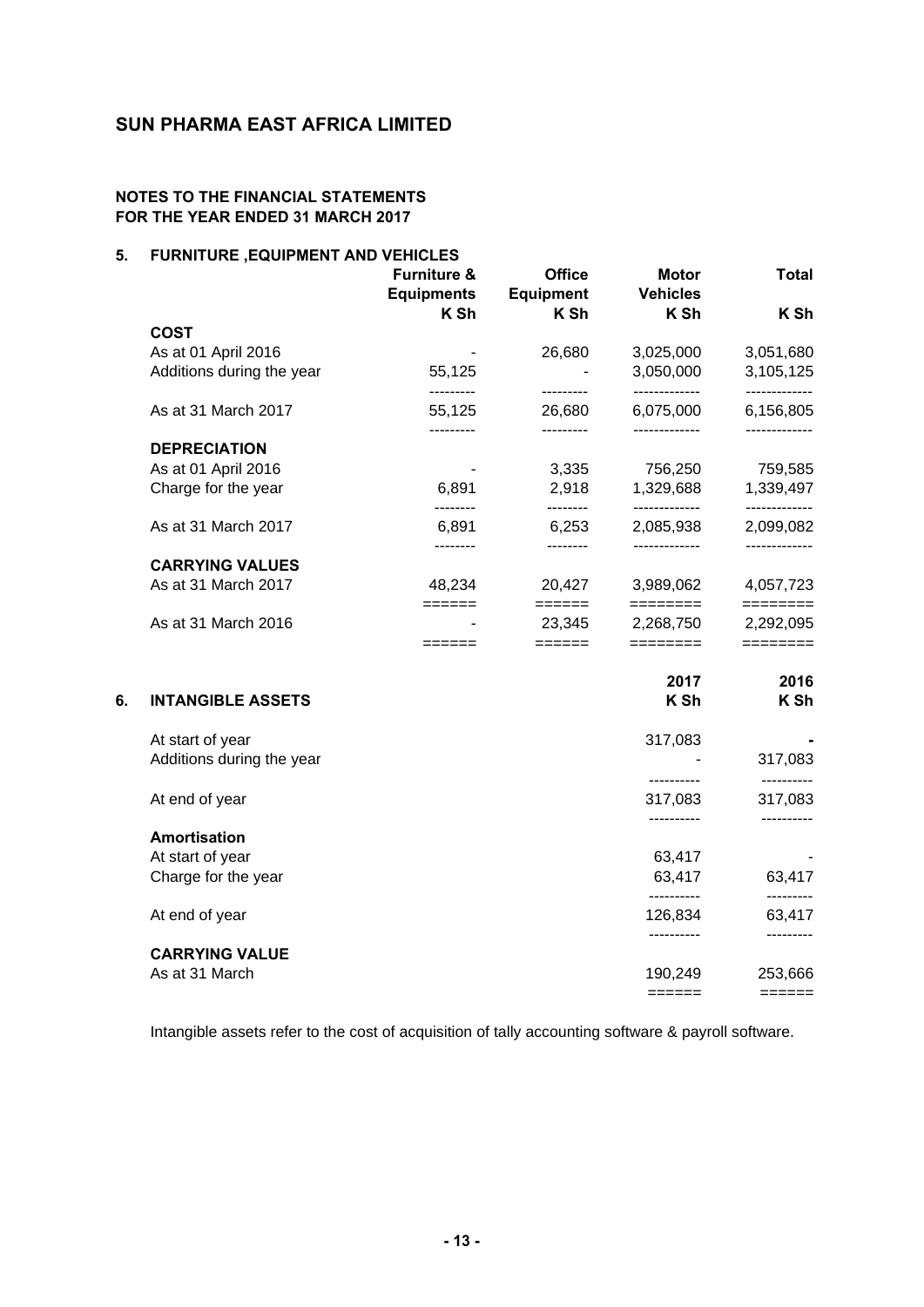### **NOTES TO THE FINANCIAL STATEMENTS FOR THE YEAR ENDED 31 MARCH 2017**

## **5. FURNITURE ,EQUIPMENT AND VEHICLES**

|    |                           | Furniture &<br><b>Equipments</b><br>K Sh | <b>Office</b><br><b>Equipment</b><br>K Sh | <b>Motor</b><br><b>Vehicles</b><br>K Sh | <b>Total</b><br>K Sh       |
|----|---------------------------|------------------------------------------|-------------------------------------------|-----------------------------------------|----------------------------|
|    | <b>COST</b>               |                                          |                                           |                                         |                            |
|    | As at 01 April 2016       |                                          | 26,680                                    | 3,025,000                               | 3,051,680                  |
|    | Additions during the year | 55,125<br>---------                      | ---------                                 | 3,050,000<br>-------------              | 3,105,125<br>------------- |
|    | As at 31 March 2017       | 55,125                                   | 26,680                                    | 6,075,000                               | 6,156,805                  |
|    | <b>DEPRECIATION</b>       | ---------                                | ---------                                 | -------------                           | -------------              |
|    | As at 01 April 2016       |                                          | 3,335                                     | 756,250                                 | 759,585                    |
|    | Charge for the year       | 6,891                                    | 2,918                                     | 1,329,688                               | 1,339,497                  |
|    | As at 31 March 2017       | --------<br>6,891                        | --------<br>6,253                         | -------------<br>2,085,938              | -------------<br>2,099,082 |
|    |                           | --------                                 | --------                                  | -------------                           | -------------              |
|    | <b>CARRYING VALUES</b>    |                                          |                                           |                                         |                            |
|    | As at 31 March 2017       | 48,234<br>$======$                       | 20,427<br>$=$ $=$ $=$ $=$ $=$ $=$         | 3,989,062<br>========                   | 4,057,723<br>========      |
|    | As at 31 March 2016       |                                          | 23,345                                    | 2,268,750                               | 2,292,095                  |
|    |                           | $=$ $=$ $=$ $=$ $=$ $=$                  | $=======$                                 | ========                                | ========                   |
| 6. | <b>INTANGIBLE ASSETS</b>  |                                          |                                           | 2017<br>K Sh                            | 2016<br>K Sh               |
|    |                           |                                          |                                           |                                         |                            |
|    | At start of year          |                                          |                                           | 317,083                                 |                            |
|    | Additions during the year |                                          |                                           | ----------                              | 317,083                    |
|    | At end of year            |                                          |                                           | 317,083                                 | 317,083                    |
|    |                           |                                          |                                           |                                         |                            |
|    | <b>Amortisation</b>       |                                          |                                           |                                         |                            |
|    | At start of year          |                                          |                                           | 63,417                                  |                            |
|    | Charge for the year       |                                          |                                           | 63,417<br>----------                    | 63,417                     |
|    | At end of year            |                                          |                                           | 126,834                                 | 63,417                     |
|    | <b>CARRYING VALUE</b>     |                                          |                                           |                                         |                            |
|    | As at 31 March            |                                          |                                           | 190,249                                 | 253,666                    |
|    |                           |                                          |                                           | ======                                  | ======                     |

Intangible assets refer to the cost of acquisition of tally accounting software & payroll software.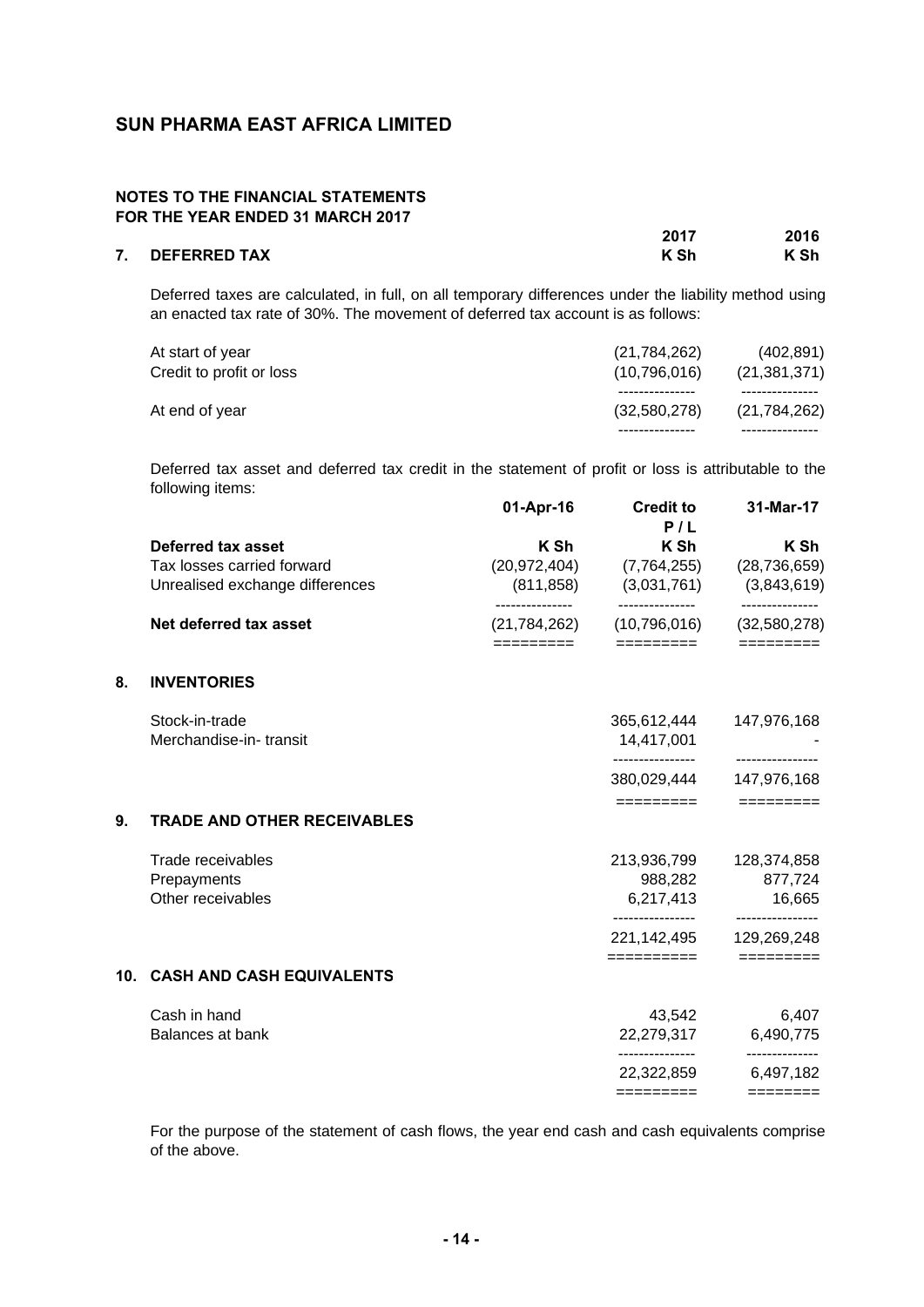### **NOTES TO THE FINANCIAL STATEMENTS FOR THE YEAR ENDED 31 MARCH 2017**

|    |                     | 2017 | 2016 |
|----|---------------------|------|------|
| 7. | <b>DEFERRED TAX</b> | K Sh | K Sh |

Deferred taxes are calculated, in full, on all temporary differences under the liability method using an enacted tax rate of 30%. The movement of deferred tax account is as follows:

| At end of year           | (32,580,278) | (21,784,262)   |
|--------------------------|--------------|----------------|
| Credit to profit or loss | (10,796,016) | (21, 381, 371) |
| At start of year         | (21,784,262) | (402, 891)     |

Deferred tax asset and deferred tax credit in the statement of profit or loss is attributable to the following items:

|    |                                    | 01-Apr-16                   | <b>Credit to</b><br>P/L        | 31-Mar-17                       |
|----|------------------------------------|-----------------------------|--------------------------------|---------------------------------|
|    | Deferred tax asset                 | K Sh                        | K Sh                           | K Sh                            |
|    | Tax losses carried forward         | (20, 972, 404)              | (7,764,255)                    | (28, 736, 659)                  |
|    | Unrealised exchange differences    | (811, 858)<br>------------  | (3,031,761)<br>--------------- | (3,843,619)<br>                 |
|    | Net deferred tax asset             | (21, 784, 262)<br>========= | (10,796,016)<br>$=$ ========   | (32,580,278)<br>$=$ ========    |
| 8. | <b>INVENTORIES</b>                 |                             |                                |                                 |
|    | Stock-in-trade                     |                             | 365,612,444                    | 147,976,168                     |
|    | Merchandise-in-transit             |                             | 14,417,001                     |                                 |
|    |                                    |                             | 380,029,444                    | ----------------<br>147,976,168 |
|    |                                    |                             | =========                      |                                 |
| 9. | <b>TRADE AND OTHER RECEIVABLES</b> |                             |                                |                                 |
|    | Trade receivables                  |                             | 213,936,799                    | 128,374,858                     |
|    | Prepayments                        |                             | 988,282                        | 877,724                         |
|    | Other receivables                  |                             | 6,217,413<br>----------------  | 16,665<br>------------          |
|    |                                    |                             | 221,142,495                    | 129,269,248                     |
|    | 10. CASH AND CASH EQUIVALENTS      |                             | ==========                     | =========                       |
|    | Cash in hand                       |                             | 43,542                         | 6,407                           |
|    | Balances at bank                   |                             | 22,279,317                     | 6,490,775                       |
|    |                                    |                             | ---------------<br>22,322,859  | ------------<br>6,497,182       |
|    |                                    |                             | =========                      | ========                        |

For the purpose of the statement of cash flows, the year end cash and cash equivalents comprise of the above.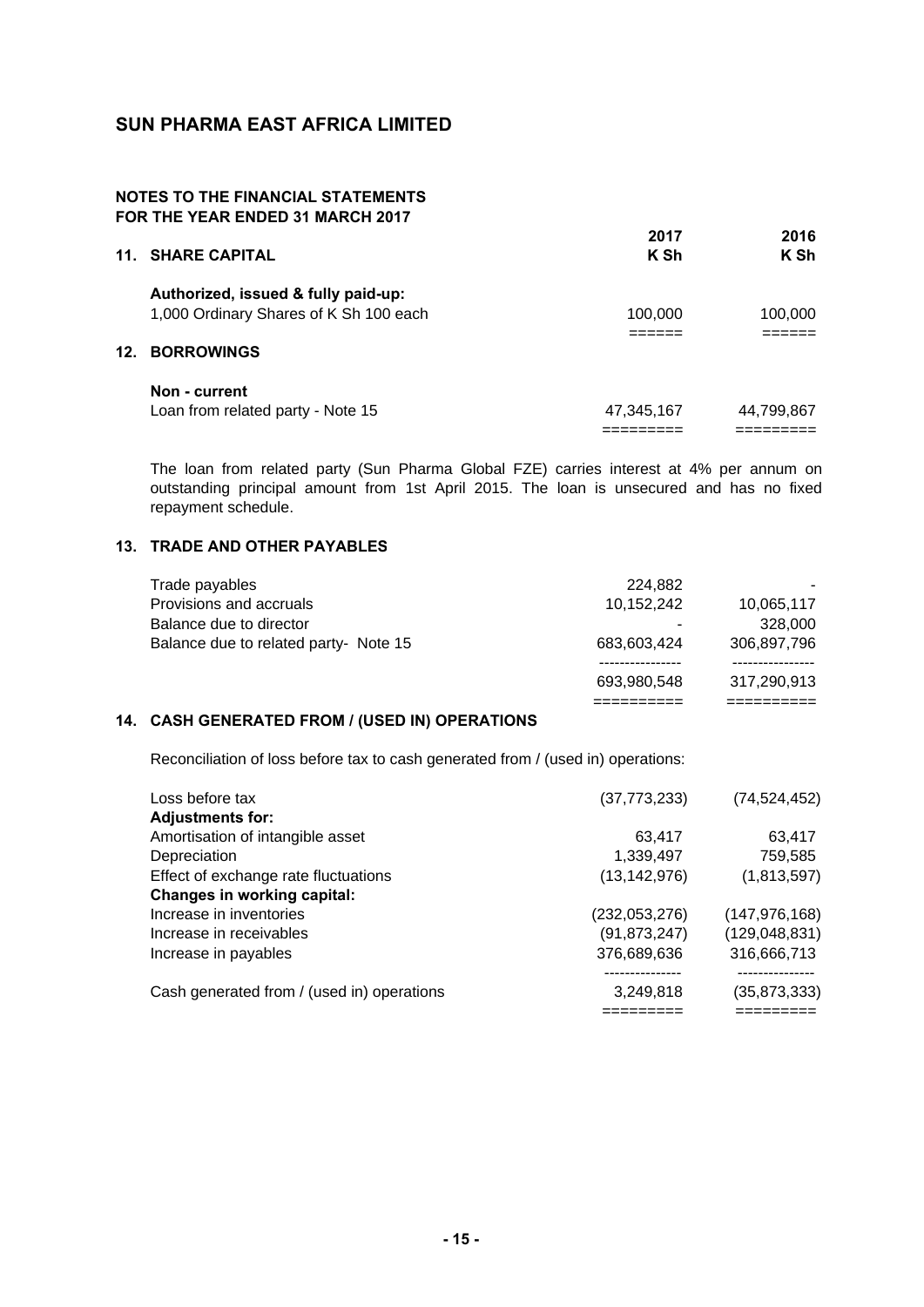#### **NOTES TO THE FINANCIAL STATEMENTS FOR THE YEAR ENDED 31 MARCH 2017**

|     | 11. SHARE CAPITAL                      | 2017<br>K Sh | 2016<br>K Sh |
|-----|----------------------------------------|--------------|--------------|
|     | Authorized, issued & fully paid-up:    |              |              |
|     | 1,000 Ordinary Shares of K Sh 100 each | 100,000      | 100,000      |
| 12. | <b>BORROWINGS</b>                      |              |              |
|     | Non - current                          |              |              |
|     | Loan from related party - Note 15      | 47,345,167   | 44,799,867   |
|     |                                        |              |              |

The loan from related party (Sun Pharma Global FZE) carries interest at 4% per annum on outstanding principal amount from 1st April 2015. The loan is unsecured and has no fixed repayment schedule.

### **13. TRADE AND OTHER PAYABLES**

|                                      | 693.980.548              | 317,290,913 |
|--------------------------------------|--------------------------|-------------|
|                                      |                          |             |
| Balance due to related party-Note 15 | 683.603.424              | 306.897.796 |
| Balance due to director              | $\overline{\phantom{0}}$ | 328,000     |
| Provisions and accruals              | 10.152.242               | 10,065,117  |
| Trade payables                       | 224.882                  |             |

### **14. CASH GENERATED FROM / (USED IN) OPERATIONS**

Reconciliation of loss before tax to cash generated from / (used in) operations:

| Loss before tax                            | (37,773,233)   | (74, 524, 452)  |
|--------------------------------------------|----------------|-----------------|
| <b>Adjustments for:</b>                    |                |                 |
| Amortisation of intangible asset           | 63,417         | 63,417          |
| Depreciation                               | 1,339,497      | 759,585         |
| Effect of exchange rate fluctuations       | (13, 142, 976) | (1,813,597)     |
| Changes in working capital:                |                |                 |
| Increase in inventories                    | (232,053,276)  | (147, 976, 168) |
| Increase in receivables                    | (91, 873, 247) | (129, 048, 831) |
| Increase in payables                       | 376,689,636    | 316,666,713     |
|                                            |                |                 |
| Cash generated from / (used in) operations | 3,249,818      | (35, 873, 333)  |
|                                            |                |                 |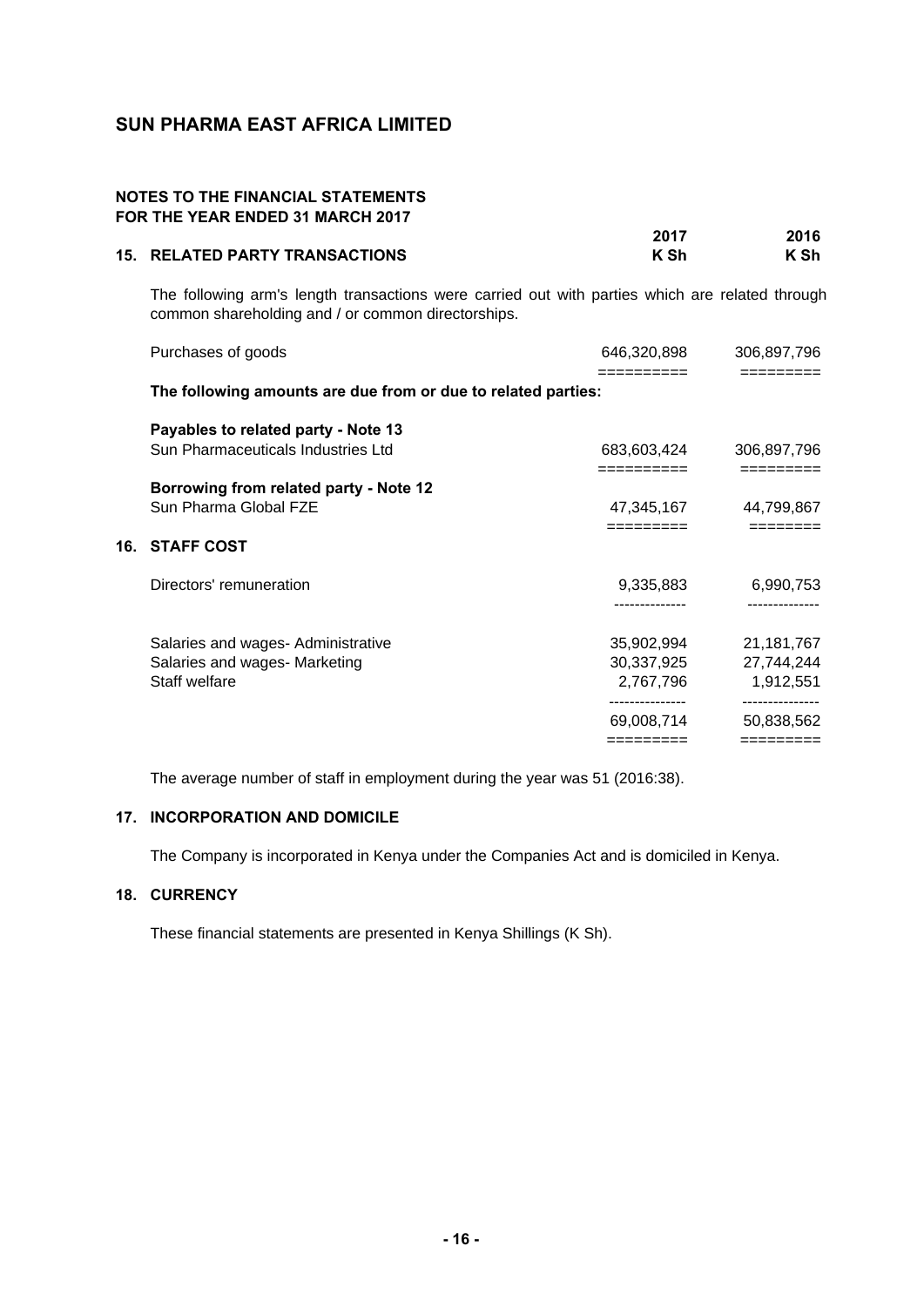### **NOTES TO THE FINANCIAL STATEMENTS FOR THE YEAR ENDED 31 MARCH 2017**

|                                       | 2017 | 2016 |
|---------------------------------------|------|------|
| <b>15. RELATED PARTY TRANSACTIONS</b> | K Sh | K Sh |

The following arm's length transactions were carried out with parties which are related through common shareholding and / or common directorships.

| Purchases of goods                                            | 646,320,898 | 306,897,796               |
|---------------------------------------------------------------|-------------|---------------------------|
| The following amounts are due from or due to related parties: |             |                           |
| Payables to related party - Note 13                           |             |                           |
| Sun Pharmaceuticals Industries Ltd                            | 683,603,424 | 306,897,796               |
| Borrowing from related party - Note 12                        |             |                           |
| Sun Pharma Global FZE                                         | 47,345,167  | 44,799,867                |
| <b>16. STAFF COST</b>                                         |             |                           |
| Directors' remuneration                                       | 9,335,883   | 6,990,753<br>------------ |
| Salaries and wages- Administrative                            | 35,902,994  | 21,181,767                |
| Salaries and wages- Marketing                                 | 30,337,925  | 27,744,244                |
| Staff welfare                                                 | 2,767,796   | 1,912,551                 |
|                                                               | 69,008,714  | 50,838,562                |
|                                                               | =========   | =========                 |

The average number of staff in employment during the year was 51 (2016:38).

### **17. INCORPORATION AND DOMICILE**

The Company is incorporated in Kenya under the Companies Act and is domiciled in Kenya.

### **18. CURRENCY**

These financial statements are presented in Kenya Shillings (K Sh).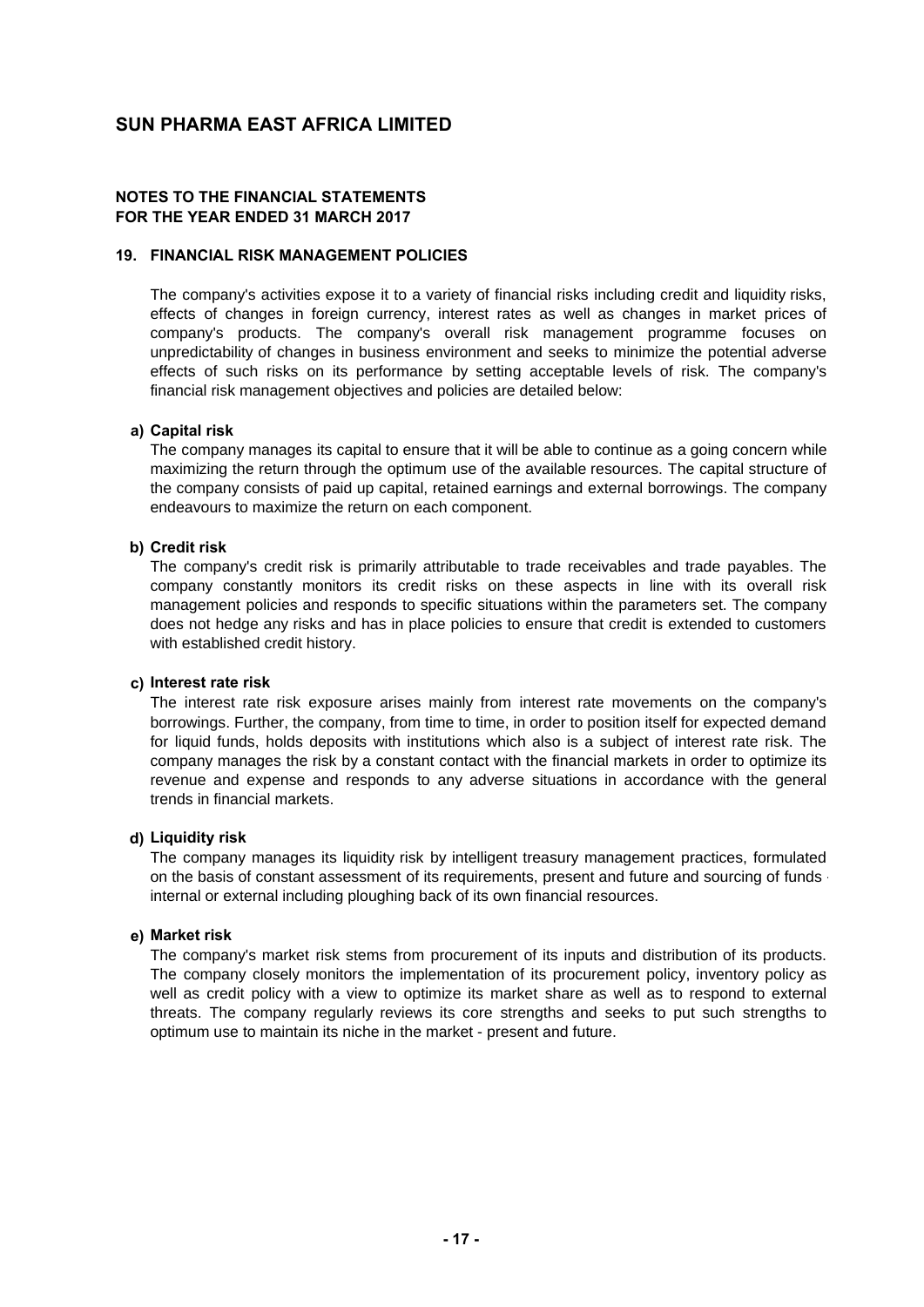### **NOTES TO THE FINANCIAL STATEMENTS FOR THE YEAR ENDED 31 MARCH 2017**

### **19. FINANCIAL RISK MANAGEMENT POLICIES**

The company's activities expose it to a variety of financial risks including credit and liquidity risks, effects of changes in foreign currency, interest rates as well as changes in market prices of company's products. The company's overall risk management programme focuses on unpredictability of changes in business environment and seeks to minimize the potential adverse effects of such risks on its performance by setting acceptable levels of risk. The company's financial risk management objectives and policies are detailed below:

#### **a) Capital risk**

The company manages its capital to ensure that it will be able to continue as a going concern while maximizing the return through the optimum use of the available resources. The capital structure of the company consists of paid up capital, retained earnings and external borrowings. The company endeavours to maximize the return on each component.

#### **b) Credit risk**

The company's credit risk is primarily attributable to trade receivables and trade payables. The company constantly monitors its credit risks on these aspects in line with its overall risk management policies and responds to specific situations within the parameters set. The company does not hedge any risks and has in place policies to ensure that credit is extended to customers with established credit history.

#### **c) Interest rate risk**

The interest rate risk exposure arises mainly from interest rate movements on the company's borrowings. Further, the company, from time to time, in order to position itself for expected demand for liquid funds, holds deposits with institutions which also is a subject of interest rate risk. The company manages the risk by a constant contact with the financial markets in order to optimize its revenue and expense and responds to any adverse situations in accordance with the general trends in financial markets.

#### **d) Liquidity risk**

The company manages its liquidity risk by intelligent treasury management practices, formulated on the basis of constant assessment of its requirements, present and future and sourcing of funds internal or external including ploughing back of its own financial resources.

#### **e) Market risk**

The company's market risk stems from procurement of its inputs and distribution of its products. The company closely monitors the implementation of its procurement policy, inventory policy as well as credit policy with a view to optimize its market share as well as to respond to external threats. The company regularly reviews its core strengths and seeks to put such strengths to optimum use to maintain its niche in the market - present and future.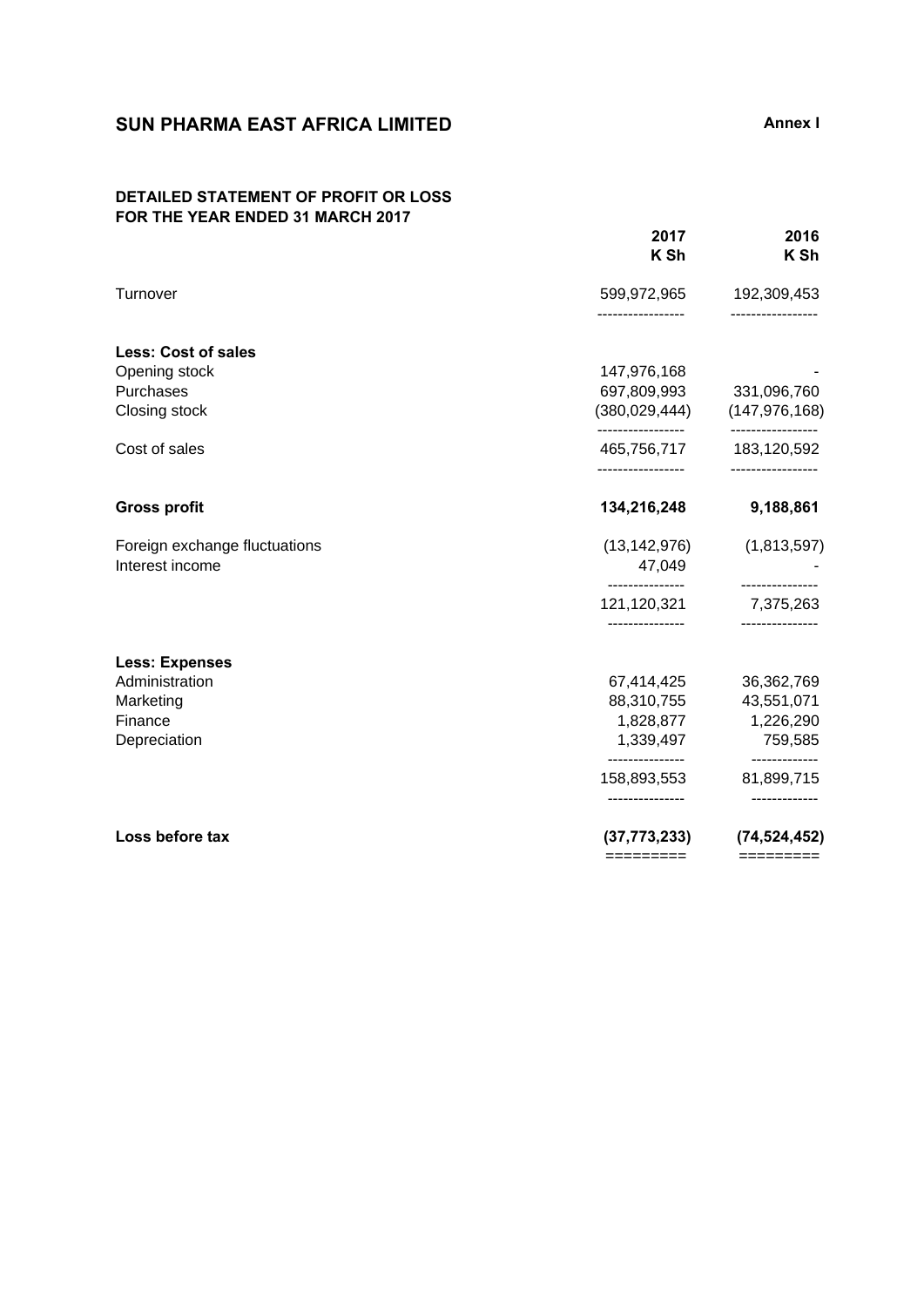# **SUN PHARMA EAST AFRICA LIMITED Annex I**

## **DETAILED STATEMENT OF PROFIT OR LOSS FOR THE YEAR ENDED 31 MARCH 2017**

|                               | 2017<br>K Sh                       | 2016<br>K Sh                                 |
|-------------------------------|------------------------------------|----------------------------------------------|
| Turnover                      | -----------------                  | 599,972,965 192,309,453<br>----------------- |
| <b>Less: Cost of sales</b>    |                                    |                                              |
| Opening stock                 | 147,976,168                        |                                              |
| Purchases                     | 697,809,993                        | 331,096,760                                  |
| Closing stock                 | (380,029,444)<br>----------------- | (147, 976, 168)<br>-----------------         |
| Cost of sales                 | 465,756,717<br>-----------------   | 183,120,592<br>-----------------             |
| <b>Gross profit</b>           | 134,216,248                        | 9,188,861                                    |
| Foreign exchange fluctuations | (13, 142, 976)                     | (1,813,597)                                  |
| Interest income               | 47,049<br>---------------          | ---------------                              |
|                               | 121,120,321<br>---------------     | 7,375,263<br>---------------                 |
| <b>Less: Expenses</b>         |                                    |                                              |
| Administration                | 67,414,425                         | 36,362,769                                   |
| Marketing                     | 88,310,755                         | 43,551,071                                   |
| Finance                       | 1,828,877                          | 1,226,290                                    |
| Depreciation                  | 1,339,497<br>---------------       | 759,585<br>-------------                     |
|                               | 158,893,553<br>---------------     | 81,899,715<br>-------------                  |
| Loss before tax               | (37, 773, 233)                     | (74, 524, 452)                               |
|                               | $=$ = = = = = = = =                | =========                                    |